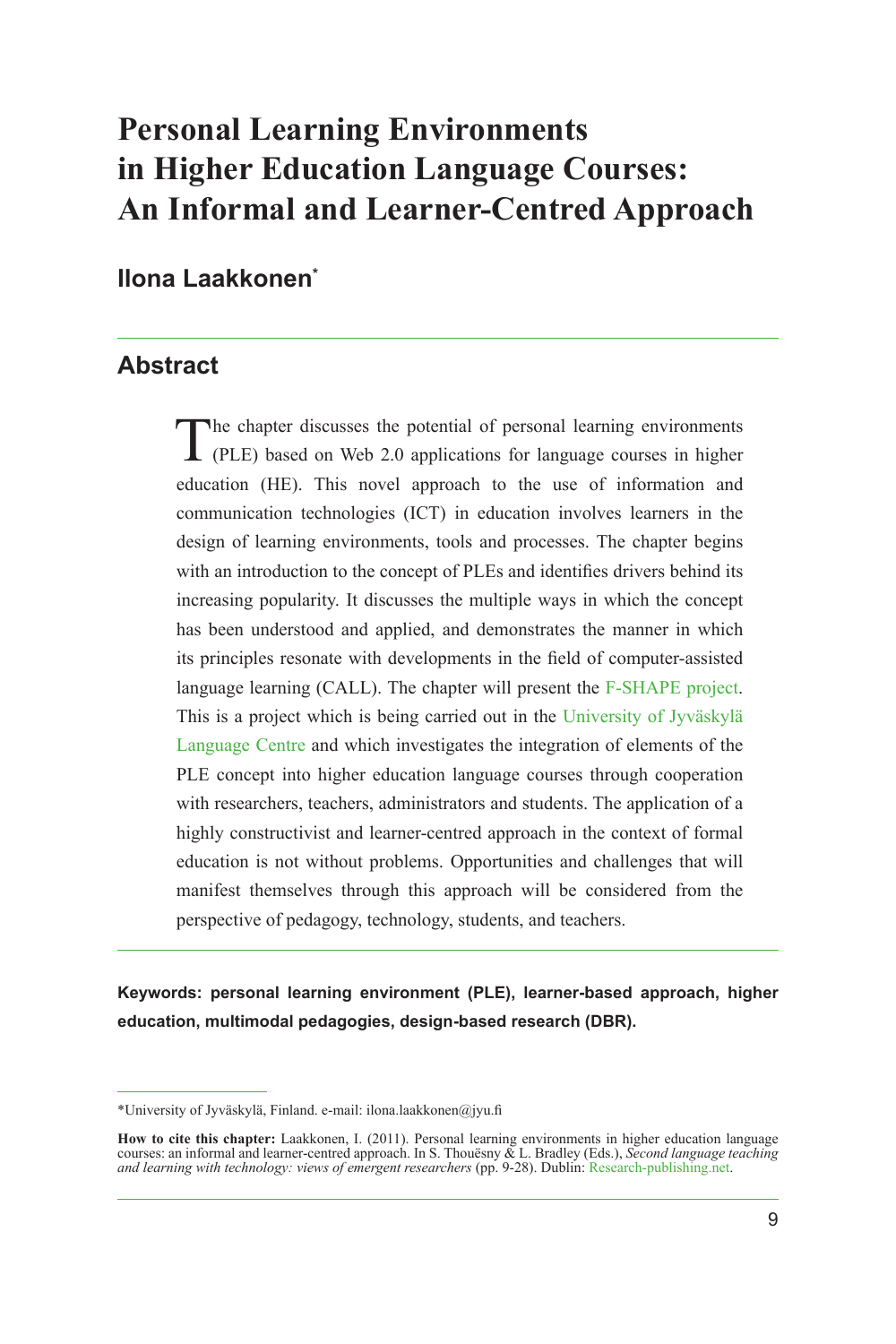# **Personal Learning Environments in Higher Education Language Courses: An Informal and Learner-Centred Approach**

### **Ilona Laakkonen\***

## **Abstract**

The chapter discusses the potential of personal learning environments<br>(PLE) based on Web 2.0 applications for language courses in higher education (HE). This novel approach to the use of information and communication technologies (ICT) in education involves learners in the design of learning environments, tools and processes. The chapter begins with an introduction to the concept of PLEs and identifies drivers behind its increasing popularity. It discusses the multiple ways in which the concept has been understood and applied, and demonstrates the manner in which its principles resonate with developments in the field of computer-assisted language learning (CALL). The chapter will present the [F-SHAPE project](#page-19-0). This is a project which is being carried out in the [University of Jyväskylä](#page-19-1)  [Language Centre](#page-19-1) and which investigates the integration of elements of the PLE concept into higher education language courses through cooperation with researchers, teachers, administrators and students. The application of a highly constructivist and learner-centred approach in the context of formal education is not without problems. Opportunities and challenges that will manifest themselves through this approach will be considered from the perspective of pedagogy, technology, students, and teachers.

**Keywords: personal learning environment (PLE), learner-based approach, higher education, multimodal pedagogies, design-based research (DBR).**

<sup>\*</sup>University of Jyväskylä, Finland. e-mail: ilona.laakkonen@jyu.fi

**How to cite this chapter:** Laakkonen, I. (2011). Personal learning environments in higher education language courses: an informal and learner-centred approach. In S. Thouësny & L. Bradley (Eds.), *Second language teaching and learning with technology: views of emergent researchers* (pp. 9-28). Dublin: [Research-publishing.net](http://research-publishing.net/).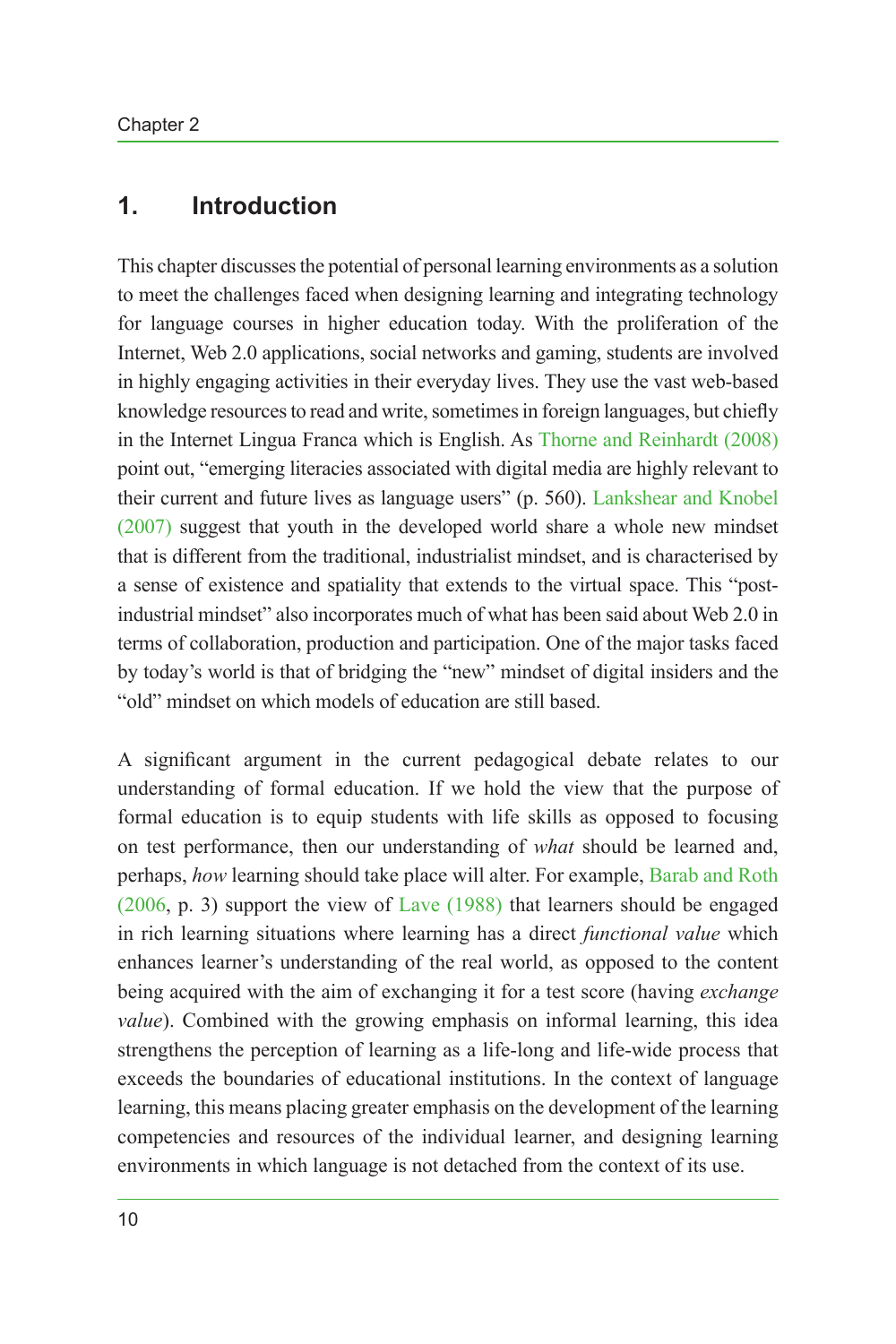### **1. Introduction**

This chapter discusses the potential of personal learning environments as a solution to meet the challenges faced when designing learning and integrating technology for language courses in higher education today. With the proliferation of the Internet, Web 2.0 applications, social networks and gaming, students are involved in highly engaging activities in their everyday lives. They use the vast web-based knowledge resources to read and write, sometimes in foreign languages, but chiefly in the Internet Lingua Franca which is English. As Thorne and [Reinhardt \(2008\)](#page-18-0) point out, "emerging literacies associated with digital media are highly relevant to their current and future lives as language users" (p. 560). [Lankshear and Knobel](#page-17-0) [\(2007\)](#page-17-0) suggest that youth in the developed world share a whole new mindset that is different from the traditional, industrialist mindset, and is characterised by a sense of existence and spatiality that extends to the virtual space. This "postindustrial mindset" also incorporates much of what has been said about Web 2.0 in terms of collaboration, production and participation. One of the major tasks faced by today's world is that of bridging the "new" mindset of digital insiders and the "old" mindset on which models of education are still based.

A significant argument in the current pedagogical debate relates to our understanding of formal education. If we hold the view that the purpose of formal education is to equip students with life skills as opposed to focusing on test performance, then our understanding of *what* should be learned and, perhaps, *how* learning should take place will alter. For example, [Barab and](#page-16-0) Roth [\(2006](#page-16-0), p. 3) support the view of [Lave \(1988\)](#page-17-1) that learners should be engaged in rich learning situations where learning has a direct *functional value* which enhances learner's understanding of the real world, as opposed to the content being acquired with the aim of exchanging it for a test score (having *exchange value*). Combined with the growing emphasis on informal learning, this idea strengthens the perception of learning as a life-long and life-wide process that exceeds the boundaries of educational institutions. In the context of language learning, this means placing greater emphasis on the development of the learning competencies and resources of the individual learner, and designing learning environments in which language is not detached from the context of its use.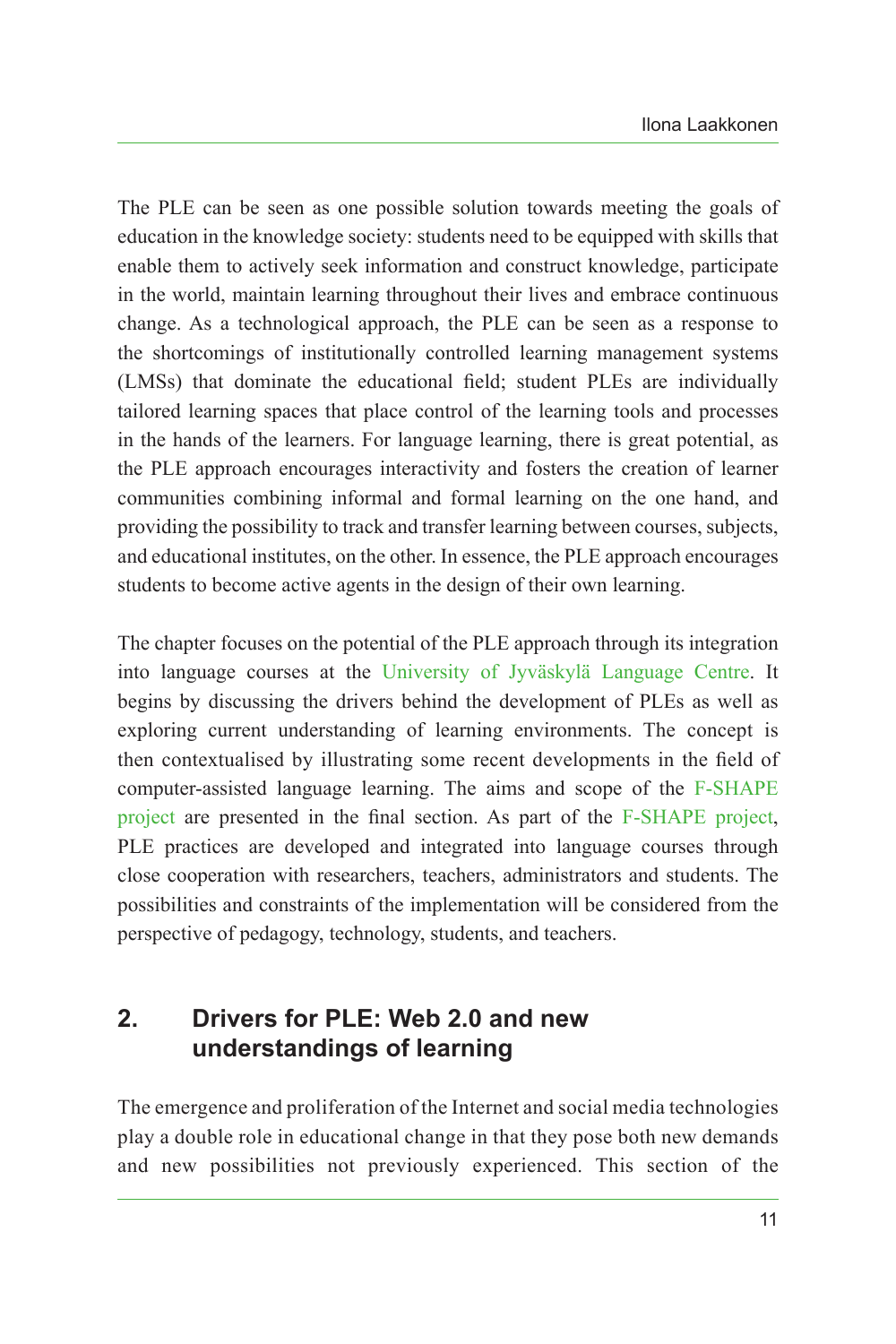The PLE can be seen as one possible solution towards meeting the goals of education in the knowledge society: students need to be equipped with skills that enable them to actively seek information and construct knowledge, participate in the world, maintain learning throughout their lives and embrace continuous change. As a technological approach, the PLE can be seen as a response to the shortcomings of institutionally controlled learning management systems (LMSs) that dominate the educational field; student PLEs are individually tailored learning spaces that place control of the learning tools and processes in the hands of the learners. For language learning, there is great potential, as the PLE approach encourages interactivity and fosters the creation of learner communities combining informal and formal learning on the one hand, and providing the possibility to track and transfer learning between courses, subjects, and educational institutes, on the other. In essence, the PLE approach encourages students to become active agents in the design of their own learning.

The chapter focuses on the potential of the PLE approach through its integration into language courses at the [University of Jyväskylä Language Centre](#page-19-1). It begins by discussing the drivers behind the development of PLEs as well as exploring current understanding of learning environments. The concept is then contextualised by illustrating some recent developments in the field of computer-assisted language learning. The aims and scope of the [F-SHAPE](#page-19-0) [project](#page-19-0) are presented in the final section. As part of the [F-SHAPE project](#page-19-0), PLE practices are developed and integrated into language courses through close cooperation with researchers, teachers, administrators and students. The possibilities and constraints of the implementation will be considered from the perspective of pedagogy, technology, students, and teachers.

# **2. Drivers for PLE: Web 2.0 and new understandings of learning**

The emergence and proliferation of the Internet and social media technologies play a double role in educational change in that they pose both new demands and new possibilities not previously experienced. This section of the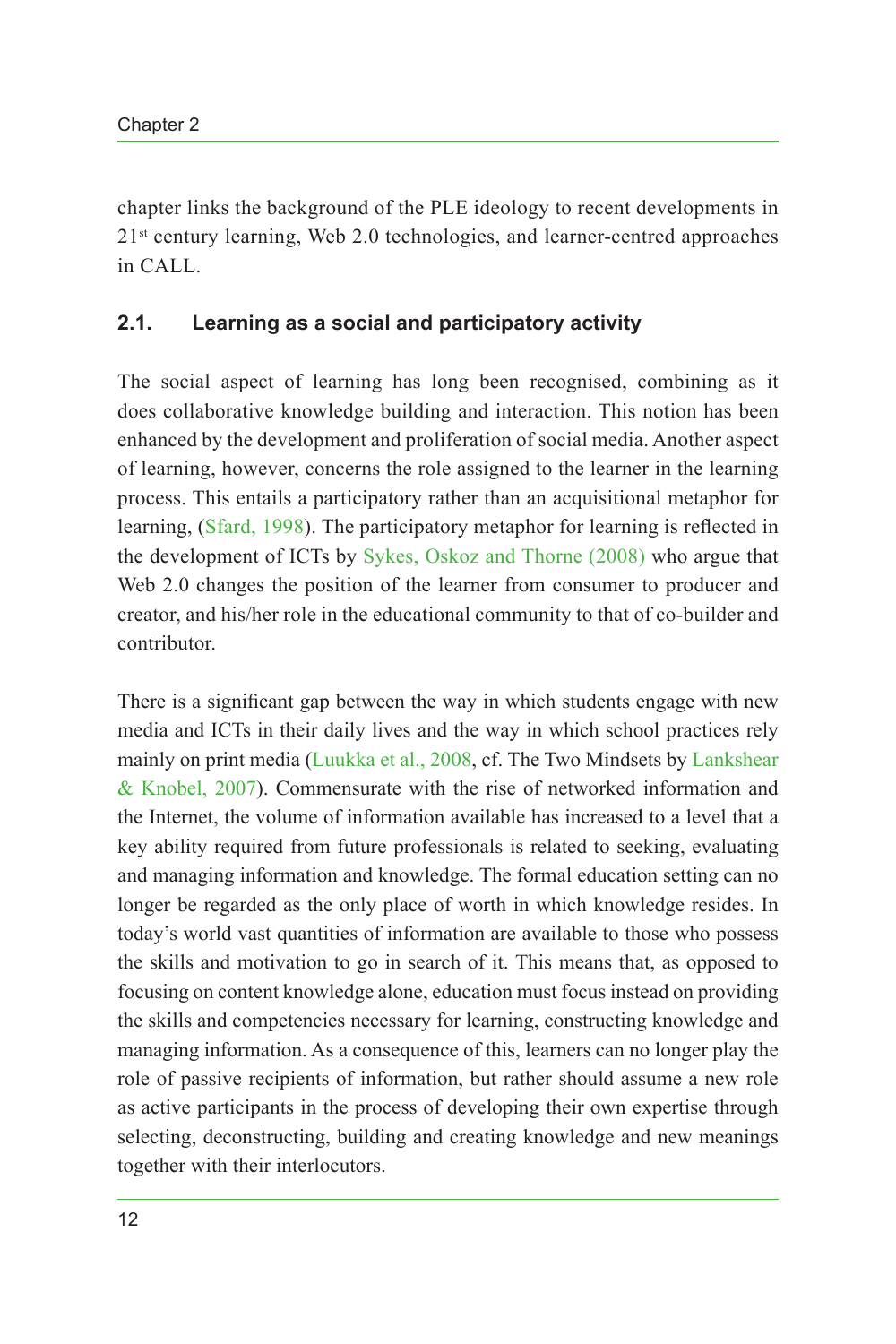chapter links the background of the PLE ideology to recent developments in 21<sup>st</sup> century learning, Web 2.0 technologies, and learner-centred approaches in CALL.

#### **2.1. Learning as a social and participatory activity**

The social aspect of learning has long been recognised, combining as it does collaborative knowledge building and interaction. This notion has been enhanced by the development and proliferation of social media. Another aspect of learning, however, concerns the role assigned to the learner in the learning process. This entails a participatory rather than an acquisitional metaphor for learning, ([Sfard, 1998\)](#page-18-1). The participatory metaphor for learning is reflected in the development of ICTs by Sykes, Oskoz and [Thorne \(2008\)](#page-18-2) who argue that Web 2.0 changes the position of the learner from consumer to producer and creator, and his/her role in the educational community to that of co-builder and contributor.

There is a significant gap between the way in which students engage with new media and ICTs in their daily lives and the way in which school practices rely mainly on print media ([Luukka et al., 2008](#page-18-3), cf. The Two Mindsets by [Lankshear](#page-17-0) & [Knobel, 2007\)](#page-17-0). Commensurate with the rise of networked information and the Internet, the volume of information available has increased to a level that a key ability required from future professionals is related to seeking, evaluating and managing information and knowledge. The formal education setting can no longer be regarded as the only place of worth in which knowledge resides. In today's world vast quantities of information are available to those who possess the skills and motivation to go in search of it. This means that, as opposed to focusing on content knowledge alone, education must focus instead on providing the skills and competencies necessary for learning, constructing knowledge and managing information. As a consequence of this, learners can no longer play the role of passive recipients of information, but rather should assume a new role as active participants in the process of developing their own expertise through selecting, deconstructing, building and creating knowledge and new meanings together with their interlocutors.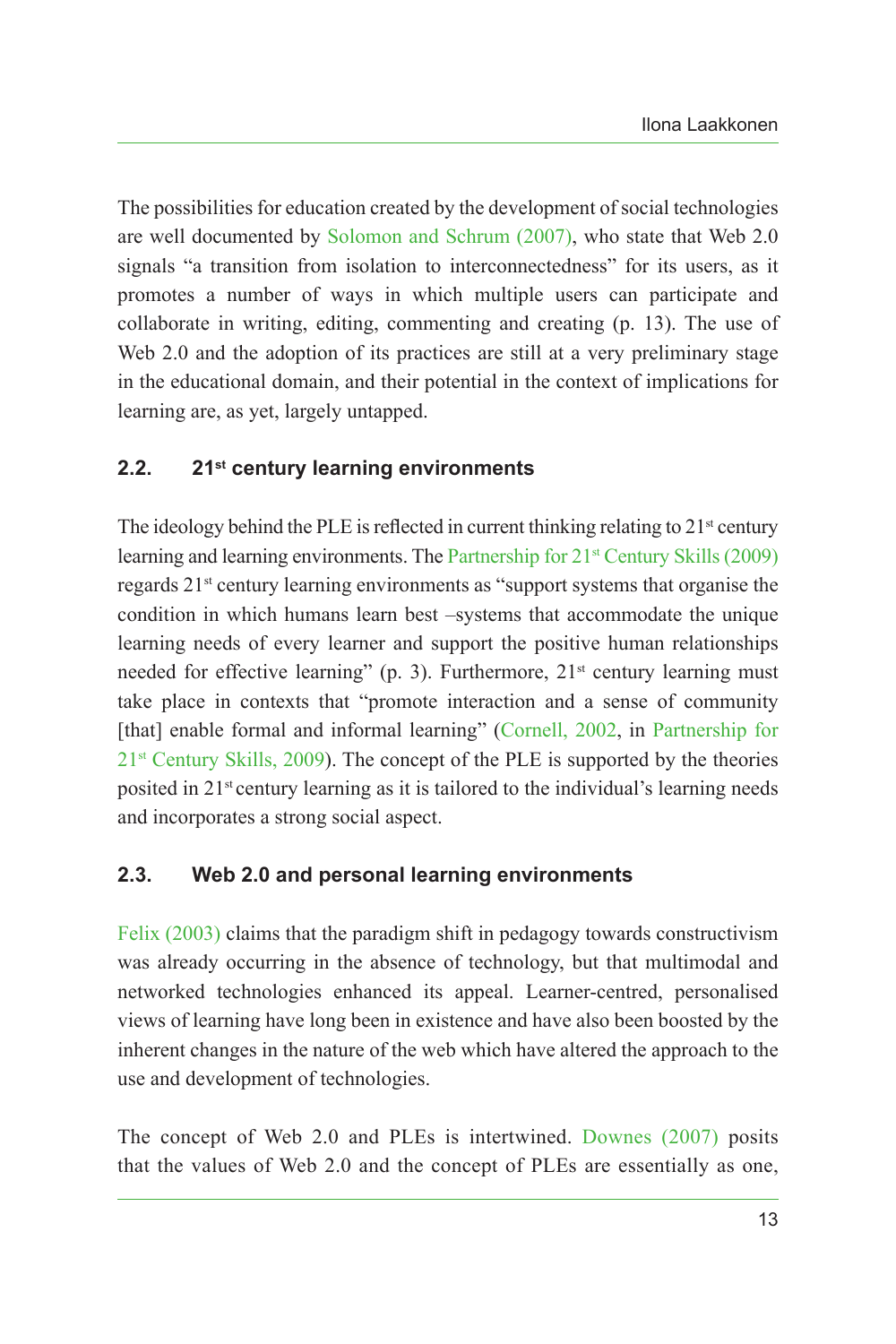The possibilities for education created by the development of social technologies are well documented by [Solomon and Schrum \(2007\)](#page-18-4), who state that Web 2.0 signals "a transition from isolation to interconnectedness" for its users, as it promotes a number of ways in which multiple users can participate and collaborate in writing, editing, commenting and creating (p. 13). The use of Web 2.0 and the adoption of its practices are still at a very preliminary stage in the educational domain, and their potential in the context of implications for learning are, as yet, largely untapped.

#### **2.2. 21st century learning environments**

The ideology behind the PLE is reflected in current thinking relating to 21<sup>st</sup> century learning and learning environments. The Partnership for 21<sup>st</sup> [Century Skills \(2009\)](#page-18-5) regards 21st century learning environments as "support systems that organise the condition in which humans learn best –systems that accommodate the unique learning needs of every learner and support the positive human relationships needed for effective learning" (p. 3). Furthermore,  $21<sup>st</sup>$  century learning must take place in contexts that "promote interaction and a sense of community [that] enable formal and informal learning" [\(Cornell, 2002](#page-17-2), in [Partnership for](#page-18-5)  $21<sup>st</sup>$  [Century Skills, 2009](#page-18-5)). The concept of the PLE is supported by the theories posited in 21<sup>st</sup> century learning as it is tailored to the individual's learning needs and incorporates a strong social aspect.

### **2.3. Web 2.0 and personal learning environments**

[Felix \(2003\)](#page-17-3) claims that the paradigm shift in pedagogy towards constructivism was already occurring in the absence of technology, but that multimodal and networked technologies enhanced its appeal. Learner-centred, personalised views of learning have long been in existence and have also been boosted by the inherent changes in the nature of the web which have altered the approach to the use and development of technologies.

The concept of Web 2.0 and PLEs is intertwined. [Downes \(2007\)](#page-17-4) posits that the values of Web 2.0 and the concept of PLEs are essentially as one,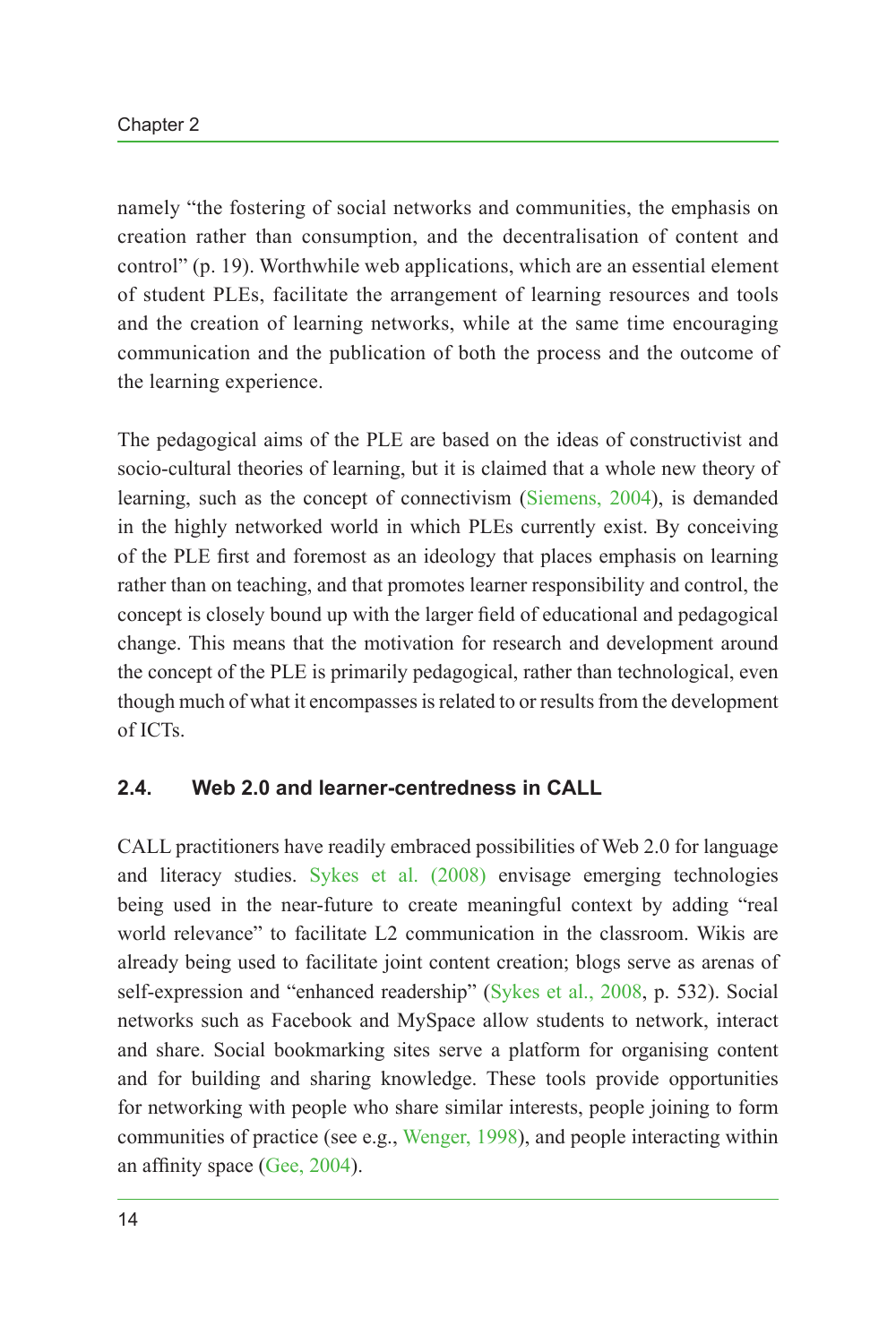namely "the fostering of social networks and communities, the emphasis on creation rather than consumption, and the decentralisation of content and control" (p. 19). Worthwhile web applications, which are an essential element of student PLEs, facilitate the arrangement of learning resources and tools and the creation of learning networks, while at the same time encouraging communication and the publication of both the process and the outcome of the learning experience.

The pedagogical aims of the PLE are based on the ideas of constructivist and socio-cultural theories of learning, but it is claimed that a whole new theory of learning, such as the concept of connectivism ([Siemens, 2004](#page-18-6)), is demanded in the highly networked world in which PLEs currently exist. By conceiving of the PLE first and foremost as an ideology that places emphasis on learning rather than on teaching, and that promotes learner responsibility and control, the concept is closely bound up with the larger field of educational and pedagogical change. This means that the motivation for research and development around the concept of the PLE is primarily pedagogical, rather than technological, even though much of what it encompasses is related to or results from the development of ICTs.

#### **2.4. Web 2.0 and learner-centredness in CALL**

CALL practitioners have readily embraced possibilities of Web 2.0 for language and literacy studies. [Sykes et al. \(2008\)](#page-18-2) envisage emerging technologies being used in the near-future to create meaningful context by adding "real world relevance" to facilitate L2 communication in the classroom. Wikis are already being used to facilitate joint content creation; blogs serve as arenas of self-expression and "enhanced readership" [\(Sykes et al., 2008,](#page-18-2) p. 532). Social networks such as Facebook and MySpace allow students to network, interact and share. Social bookmarking sites serve a platform for organising content and for building and sharing knowledge. These tools provide opportunities for networking with people who share similar interests, people joining to form communities of practice (see e.g., [Wenger, 1998](#page-19-2)), and people interacting within an affinity space [\(Gee, 2004](#page-17-5)).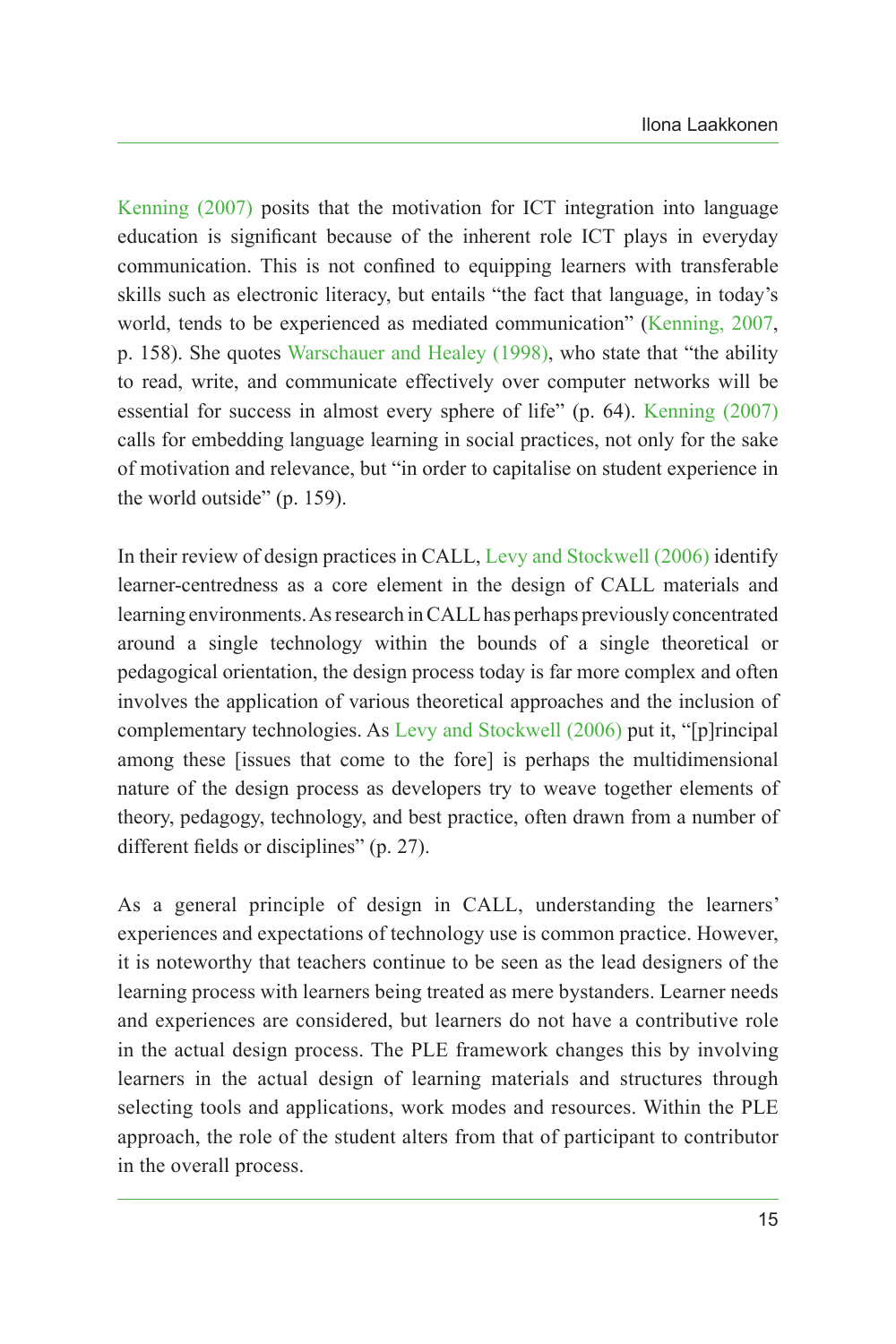[Kenning \(2007\)](#page-17-6) posits that the motivation for ICT integration into language education is significant because of the inherent role ICT plays in everyday communication. This is not confined to equipping learners with transferable skills such as electronic literacy, but entails "the fact that language, in today's world, tends to be experienced as mediated communication" ([Kenning, 2007,](#page-17-6) p. 158). She quotes [Warschauer and](#page-18-7) Healey (1998), who state that "the ability to read, write, and communicate effectively over computer networks will be essential for success in almost every sphere of life" (p. 64). [Kenning \(2007\)](#page-17-6) calls for embedding language learning in social practices, not only for the sake of motivation and relevance, but "in order to capitalise on student experience in the world outside" (p. 159).

In their review of design practices in CALL, Levy and [Stockwell \(2006\)](#page-17-7) identify learner-centredness as a core element in the design of CALL materials and learning environments. As research in CALL has perhaps previously concentrated around a single technology within the bounds of a single theoretical or pedagogical orientation, the design process today is far more complex and often involves the application of various theoretical approaches and the inclusion of complementary technologies. As Levy and [Stockwell \(2006\)](#page-17-7) put it, "[p]rincipal among these [issues that come to the fore] is perhaps the multidimensional nature of the design process as developers try to weave together elements of theory, pedagogy, technology, and best practice, often drawn from a number of different fields or disciplines" (p. 27).

As a general principle of design in CALL, understanding the learners' experiences and expectations of technology use is common practice. However, it is noteworthy that teachers continue to be seen as the lead designers of the learning process with learners being treated as mere bystanders. Learner needs and experiences are considered, but learners do not have a contributive role in the actual design process. The PLE framework changes this by involving learners in the actual design of learning materials and structures through selecting tools and applications, work modes and resources. Within the PLE approach, the role of the student alters from that of participant to contributor in the overall process.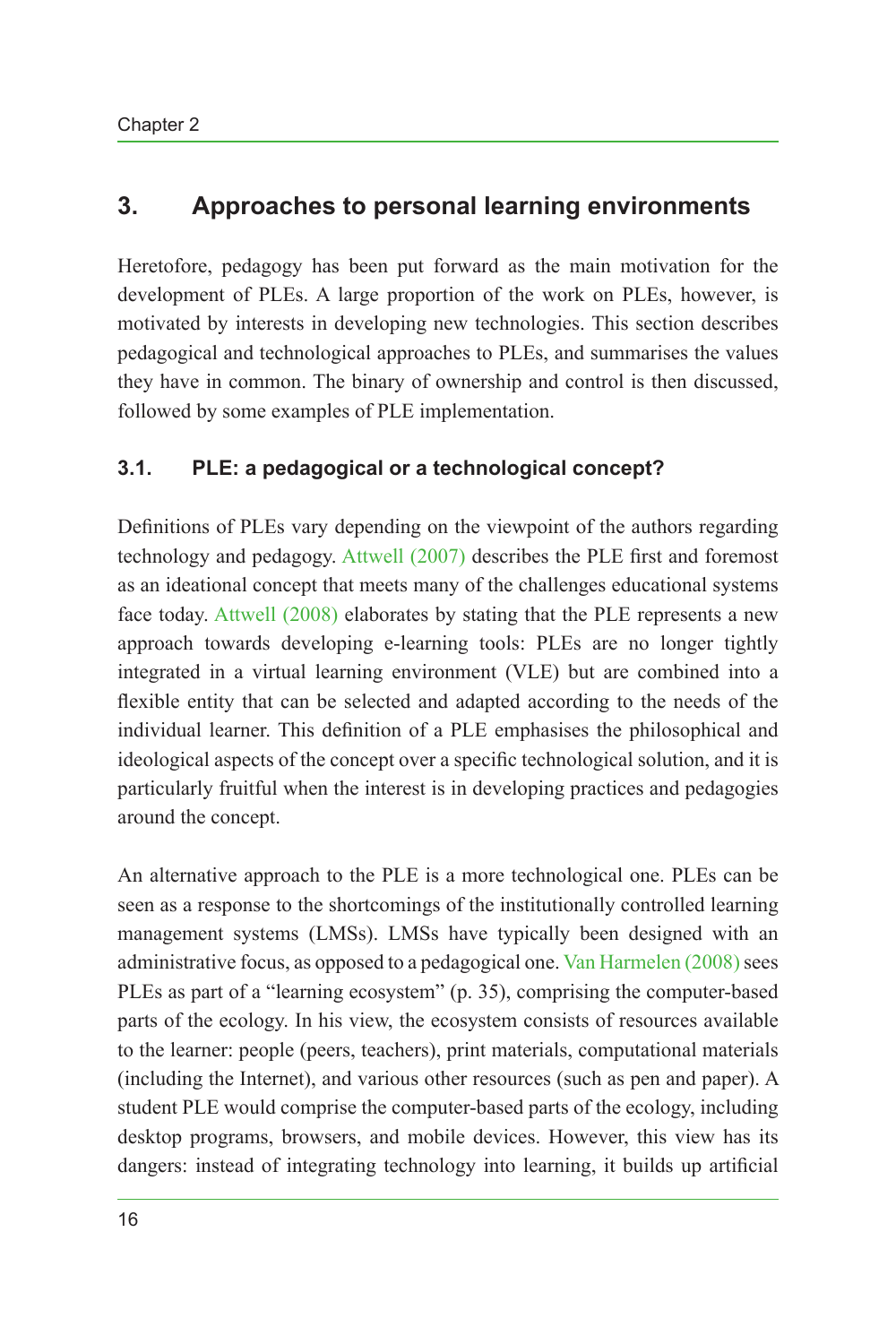# **3. Approaches to personal learning environments**

Heretofore, pedagogy has been put forward as the main motivation for the development of PLEs. A large proportion of the work on PLEs, however, is motivated by interests in developing new technologies. This section describes pedagogical and technological approaches to PLEs, and summarises the values they have in common. The binary of ownership and control is then discussed, followed by some examples of PLE implementation.

### **3.1. PLE: a pedagogical or a technological concept?**

Definitions of PLEs vary depending on the viewpoint of the authors regarding technology and pedagogy. [Attwell \(2007\)](#page-16-1) describes the PLE first and foremost as an ideational concept that meets many of the challenges educational systems face today. [Attwell \(2008\)](#page-16-2) elaborates by stating that the PLE represents a new approach towards developing e-learning tools: PLEs are no longer tightly integrated in a virtual learning environment (VLE) but are combined into a flexible entity that can be selected and adapted according to the needs of the individual learner. This definition of a PLE emphasises the philosophical and ideological aspects of the concept over a specific technological solution, and it is particularly fruitful when the interest is in developing practices and pedagogies around the concept.

An alternative approach to the PLE is a more technological one. PLEs can be seen as a response to the shortcomings of the institutionally controlled learning management systems (LMSs). LMSs have typically been designed with an administrative focus, as opposed to a pedagogical one. [Van Harmelen \(2008\)](#page-18-8) sees PLEs as part of a "learning ecosystem" (p. 35), comprising the computer-based parts of the ecology. In his view, the ecosystem consists of resources available to the learner: people (peers, teachers), print materials, computational materials (including the Internet), and various other resources (such as pen and paper). A student PLE would comprise the computer-based parts of the ecology, including desktop programs, browsers, and mobile devices. However, this view has its dangers: instead of integrating technology into learning, it builds up artificial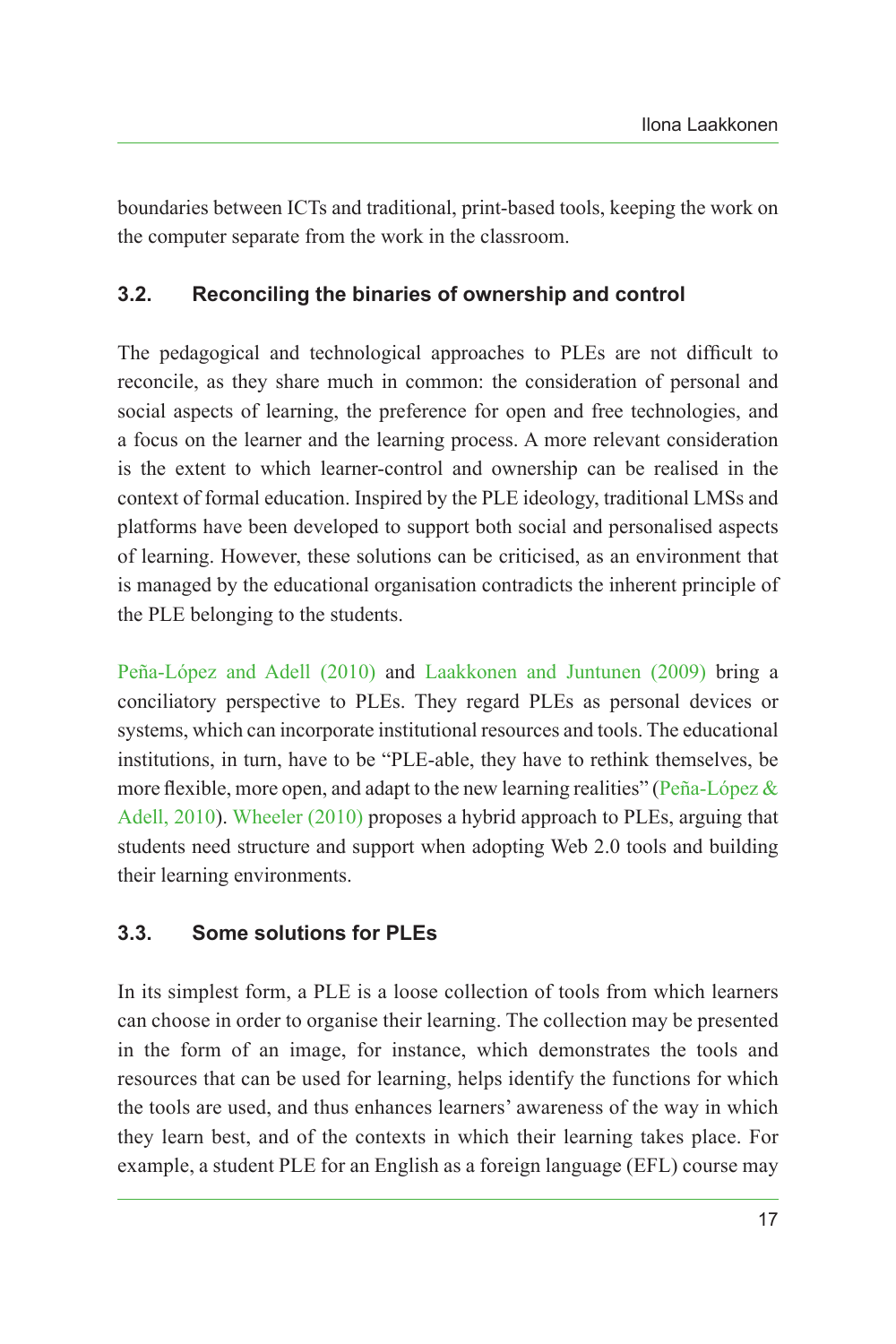boundaries between ICTs and traditional, print-based tools, keeping the work on the computer separate from the work in the classroom.

### **3.2. Reconciling the binaries of ownership and control**

The pedagogical and technological approaches to PLEs are not difficult to reconcile, as they share much in common: the consideration of personal and social aspects of learning, the preference for open and free technologies, and a focus on the learner and the learning process. A more relevant consideration is the extent to which learner-control and ownership can be realised in the context of formal education. Inspired by the PLE ideology, traditional LMSs and platforms have been developed to support both social and personalised aspects of learning. However, these solutions can be criticised, as an environment that is managed by the educational organisation contradicts the inherent principle of the PLE belonging to the students.

[Peña-López and](#page-18-9) Adell (2010) and [Laakkonen and Juntunen \(2009\)](#page-17-8) bring a conciliatory perspective to PLEs. They regard PLEs as personal devices or systems, which can incorporate institutional resources and tools. The educational institutions, in turn, have to be "PLE-able, they have to rethink themselves, be more flexible, more open, and adapt to the new learning realities" (Peña-López  $\&$ [Adell, 2010\)](#page-18-9). [Wheeler \(2010\)](#page-19-3) proposes a hybrid approach to PLEs, arguing that students need structure and support when adopting Web 2.0 tools and building their learning environments.

### **3.3. Some solutions for PLEs**

In its simplest form, a PLE is a loose collection of tools from which learners can choose in order to organise their learning. The collection may be presented in the form of an image, for instance, which demonstrates the tools and resources that can be used for learning, helps identify the functions for which the tools are used, and thus enhances learners' awareness of the way in which they learn best, and of the contexts in which their learning takes place. For example, a student PLE for an English as a foreign language (EFL) course may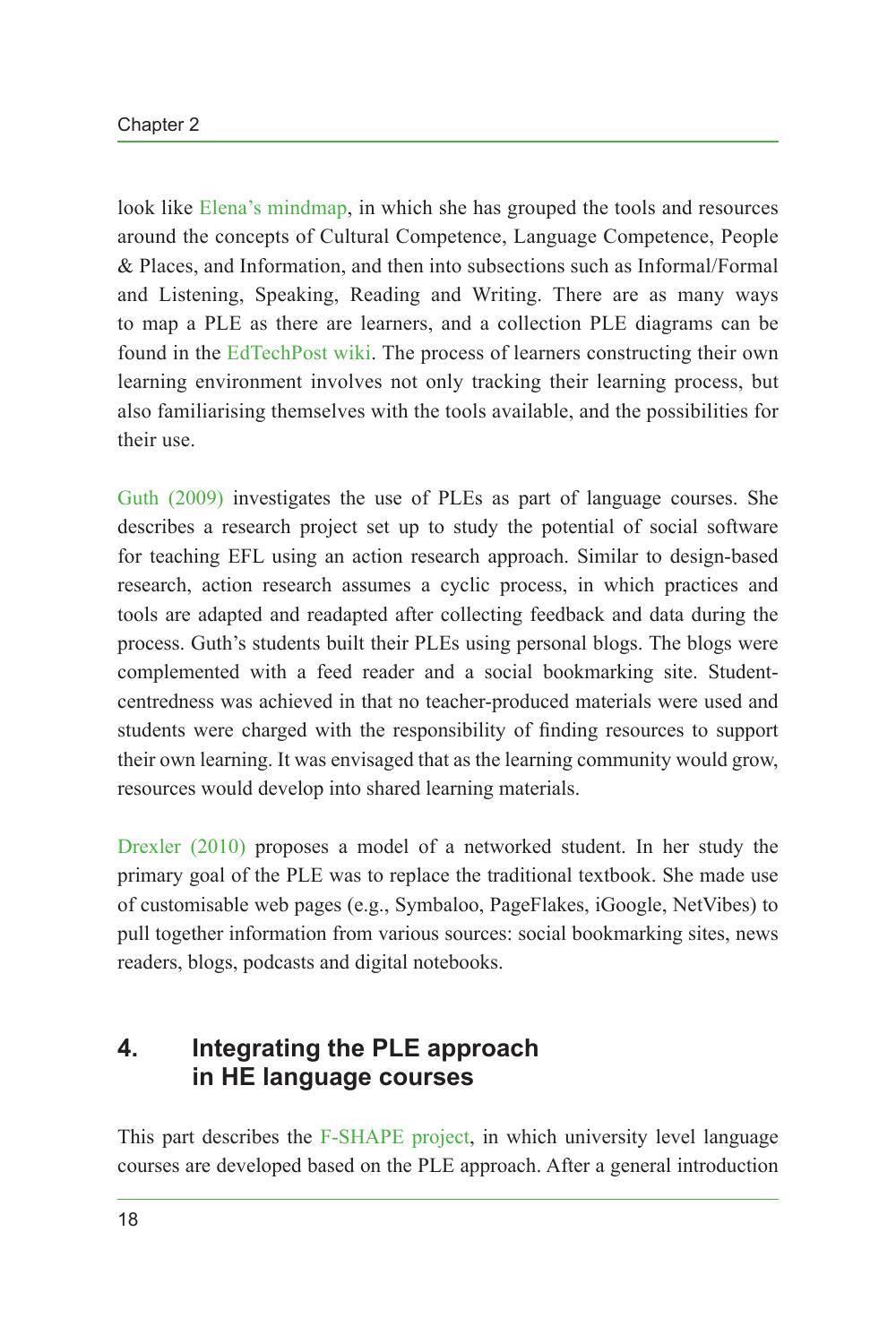look like [Elena's mindmap](#page-19-4), in which she has grouped the tools and resources around the concepts of Cultural Competence, Language Competence, People & Places, and Information, and then into subsections such as Informal/Formal and Listening, Speaking, Reading and Writing. There are as many ways to map a PLE as there are learners, and a collection PLE diagrams can be found in the [EdTechPost wiki.](#page-19-5) The process of learners constructing their own learning environment involves not only tracking their learning process, but also familiarising themselves with the tools available, and the possibilities for their use.

[Guth \(2009\)](#page-17-9) investigates the use of PLEs as part of language courses. She describes a research project set up to study the potential of social software for teaching EFL using an action research approach. Similar to design-based research, action research assumes a cyclic process, in which practices and tools are adapted and readapted after collecting feedback and data during the process. Guth's students built their PLEs using personal blogs. The blogs were complemented with a feed reader and a social bookmarking site. Studentcentredness was achieved in that no teacher-produced materials were used and students were charged with the responsibility of finding resources to support their own learning. It was envisaged that as the learning community would grow, resources would develop into shared learning materials.

[Drexler \(2010\)](#page-17-10) proposes a model of a networked student. In her study the primary goal of the PLE was to replace the traditional textbook. She made use of customisable web pages (e.g., Symbaloo, PageFlakes, iGoogle, NetVibes) to pull together information from various sources: social bookmarking sites, news readers, blogs, podcasts and digital notebooks.

# **4. Integrating the PLE approach in HE language courses**

This part describes the [F-SHAPE project](#page-19-0), in which university level language courses are developed based on the PLE approach. After a general introduction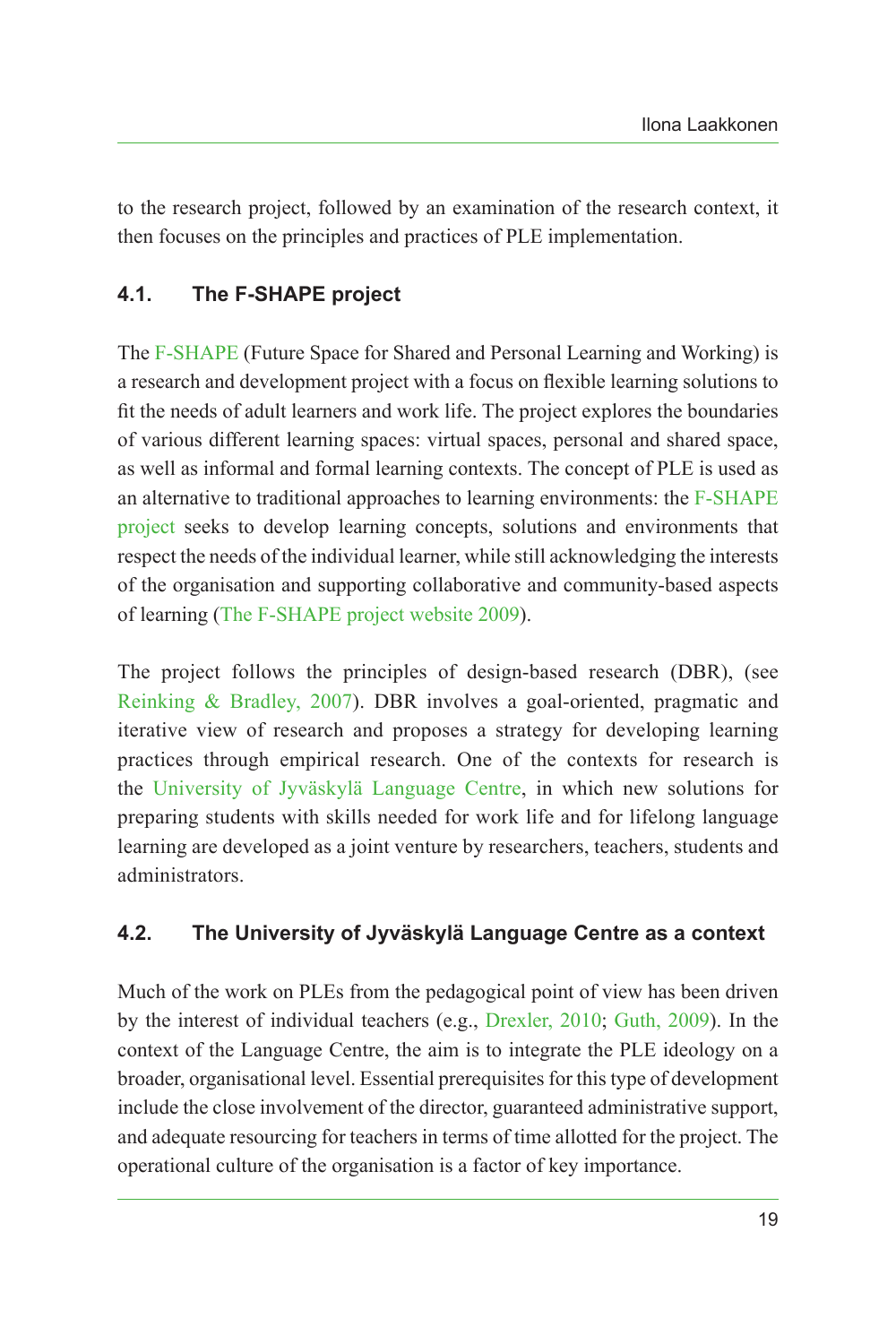to the research project, followed by an examination of the research context, it then focuses on the principles and practices of PLE implementation.

### **4.1. The F-SHAPE project**

The [F-SHAPE](#page-19-0) (Future Space for Shared and Personal Learning and Working) is a research and development project with a focus on flexible learning solutions to fit the needs of adult learners and work life. The project explores the boundaries of various different learning spaces: virtual spaces, personal and shared space, as well as informal and formal learning contexts. The concept of PLE is used as an alternative to traditional approaches to learning environments: the [F-SHAPE](#page-19-0) [project](#page-19-0) seeks to develop learning concepts, solutions and environments that respect the needs of the individual learner, while still acknowledging the interests of the organisation and supporting collaborative and community-based aspects of learning ([The F-SHAPE project website 2009](#page-19-0)).

The project follows the principles of design-based research (DBR), (see [Reinking & Bradley, 2007\)](#page-18-10). DBR involves a goal-oriented, pragmatic and iterative view of research and proposes a strategy for developing learning practices through empirical research. One of the contexts for research is the [University of Jyväskylä Language Centre](#page-19-1), in which new solutions for preparing students with skills needed for work life and for lifelong language learning are developed as a joint venture by researchers, teachers, students and administrators.

#### **4.2. The University of Jyväskylä Language Centre as a context**

Much of the work on PLEs from the pedagogical point of view has been driven by the interest of individual teachers (e.g., [Drexler, 2010](#page-17-10); [Guth, 2009](#page-17-9)). In the context of the Language Centre, the aim is to integrate the PLE ideology on a broader, organisational level. Essential prerequisites for this type of development include the close involvement of the director, guaranteed administrative support, and adequate resourcing for teachers in terms of time allotted for the project. The operational culture of the organisation is a factor of key importance.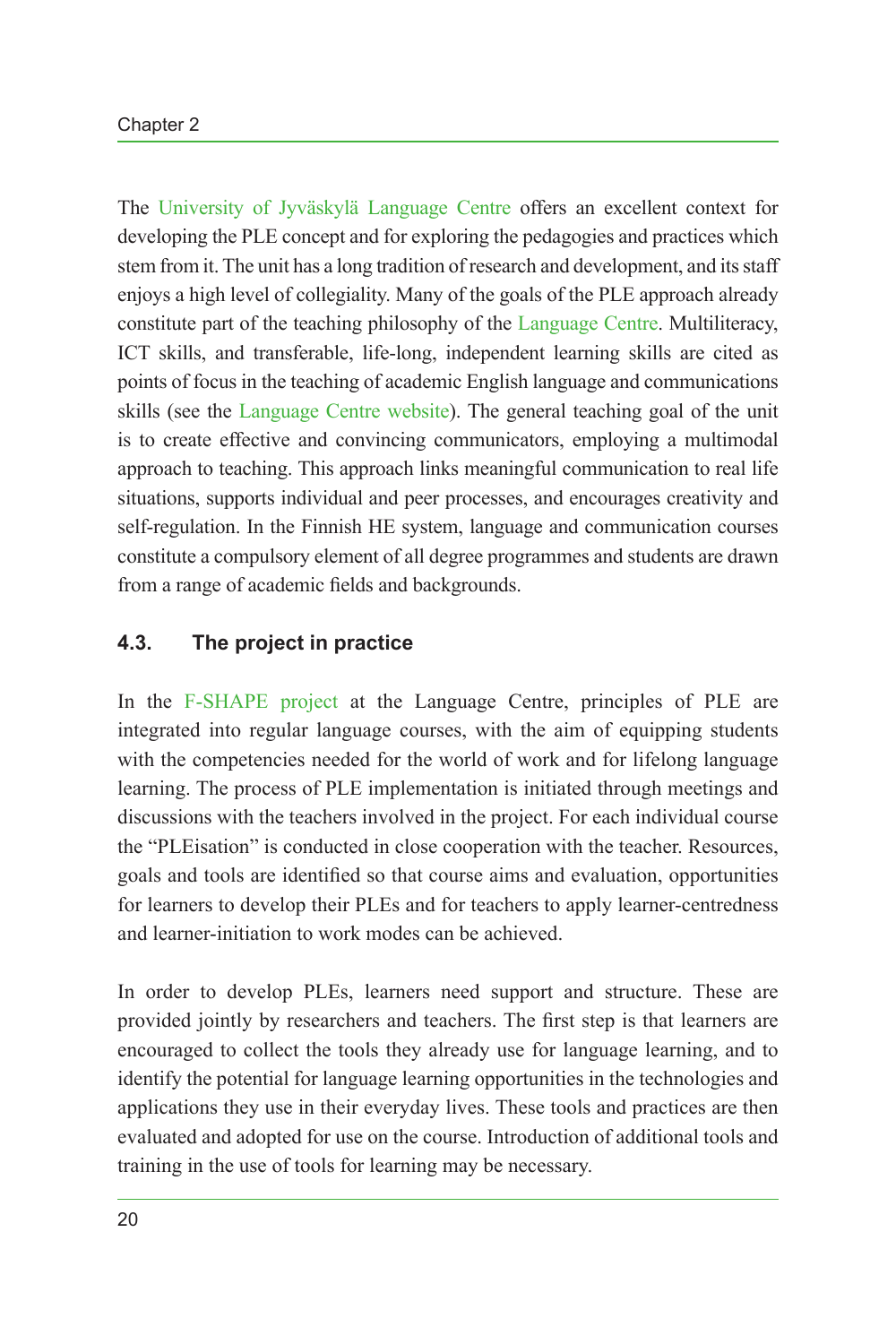The [University of Jyväskylä Language Centre](#page-19-1) offers an excellent context for developing the PLE concept and for exploring the pedagogies and practices which stem from it. The unit has a long tradition of research and development, and its staff enjoys a high level of collegiality. Many of the goals of the PLE approach already constitute part of the teaching philosophy of the [Language Centre](#page-18-11). Multiliteracy, ICT skills, and transferable, life-long, independent learning skills are cited as points of focus in the teaching of academic English language and communications skills (see the [Language Centre website\)](#page-19-1). The general teaching goal of the unit is to create effective and convincing communicators, employing a multimodal approach to teaching. This approach links meaningful communication to real life situations, supports individual and peer processes, and encourages creativity and self-regulation. In the Finnish HE system, language and communication courses constitute a compulsory element of all degree programmes and students are drawn from a range of academic fields and backgrounds.

### **4.3. The project in practice**

In the [F-SHAPE project](#page-19-0) at the Language Centre, principles of PLE are integrated into regular language courses, with the aim of equipping students with the competencies needed for the world of work and for lifelong language learning. The process of PLE implementation is initiated through meetings and discussions with the teachers involved in the project. For each individual course the "PLEisation" is conducted in close cooperation with the teacher. Resources, goals and tools are identified so that course aims and evaluation, opportunities for learners to develop their PLEs and for teachers to apply learner-centredness and learner-initiation to work modes can be achieved.

In order to develop PLEs, learners need support and structure. These are provided jointly by researchers and teachers. The first step is that learners are encouraged to collect the tools they already use for language learning, and to identify the potential for language learning opportunities in the technologies and applications they use in their everyday lives. These tools and practices are then evaluated and adopted for use on the course. Introduction of additional tools and training in the use of tools for learning may be necessary.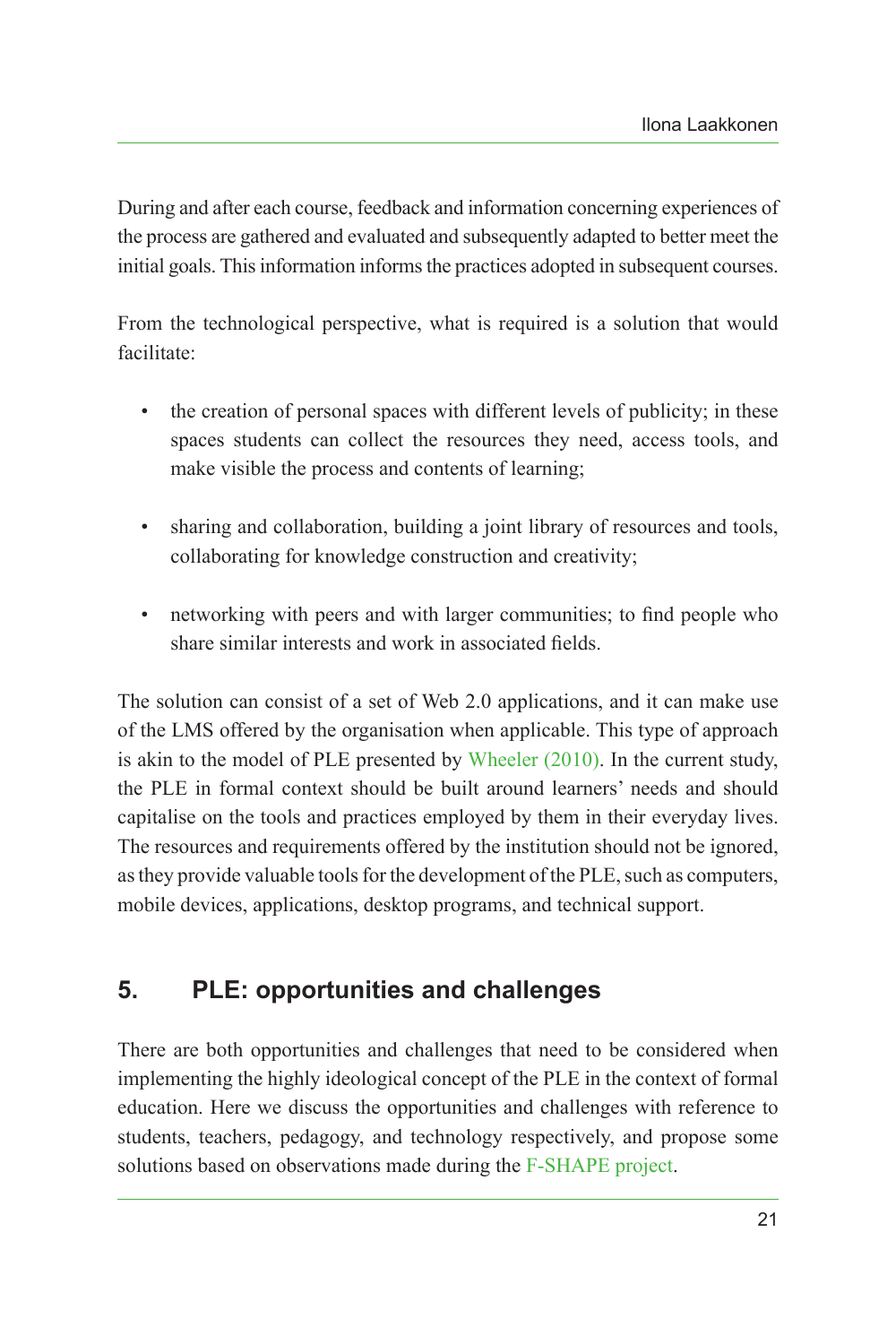During and after each course, feedback and information concerning experiences of the process are gathered and evaluated and subsequently adapted to better meet the initial goals. This information informs the practices adopted in subsequent courses.

From the technological perspective, what is required is a solution that would facilitate:

- the creation of personal spaces with different levels of publicity; in these spaces students can collect the resources they need, access tools, and make visible the process and contents of learning;
- sharing and collaboration, building a joint library of resources and tools, collaborating for knowledge construction and creativity;
- networking with peers and with larger communities; to find people who share similar interests and work in associated fields.

The solution can consist of a set of Web 2.0 applications, and it can make use of the LMS offered by the organisation when applicable. This type of approach is akin to the model of PLE presented by [Wheeler \(2010\).](#page-19-3) In the current study, the PLE in formal context should be built around learners' needs and should capitalise on the tools and practices employed by them in their everyday lives. The resources and requirements offered by the institution should not be ignored, as they provide valuable tools for the development of the PLE, such as computers, mobile devices, applications, desktop programs, and technical support.

# **5. PLE: opportunities and challenges**

There are both opportunities and challenges that need to be considered when implementing the highly ideological concept of the PLE in the context of formal education. Here we discuss the opportunities and challenges with reference to students, teachers, pedagogy, and technology respectively, and propose some solutions based on observations made during the [F-SHAPE project](#page-19-0).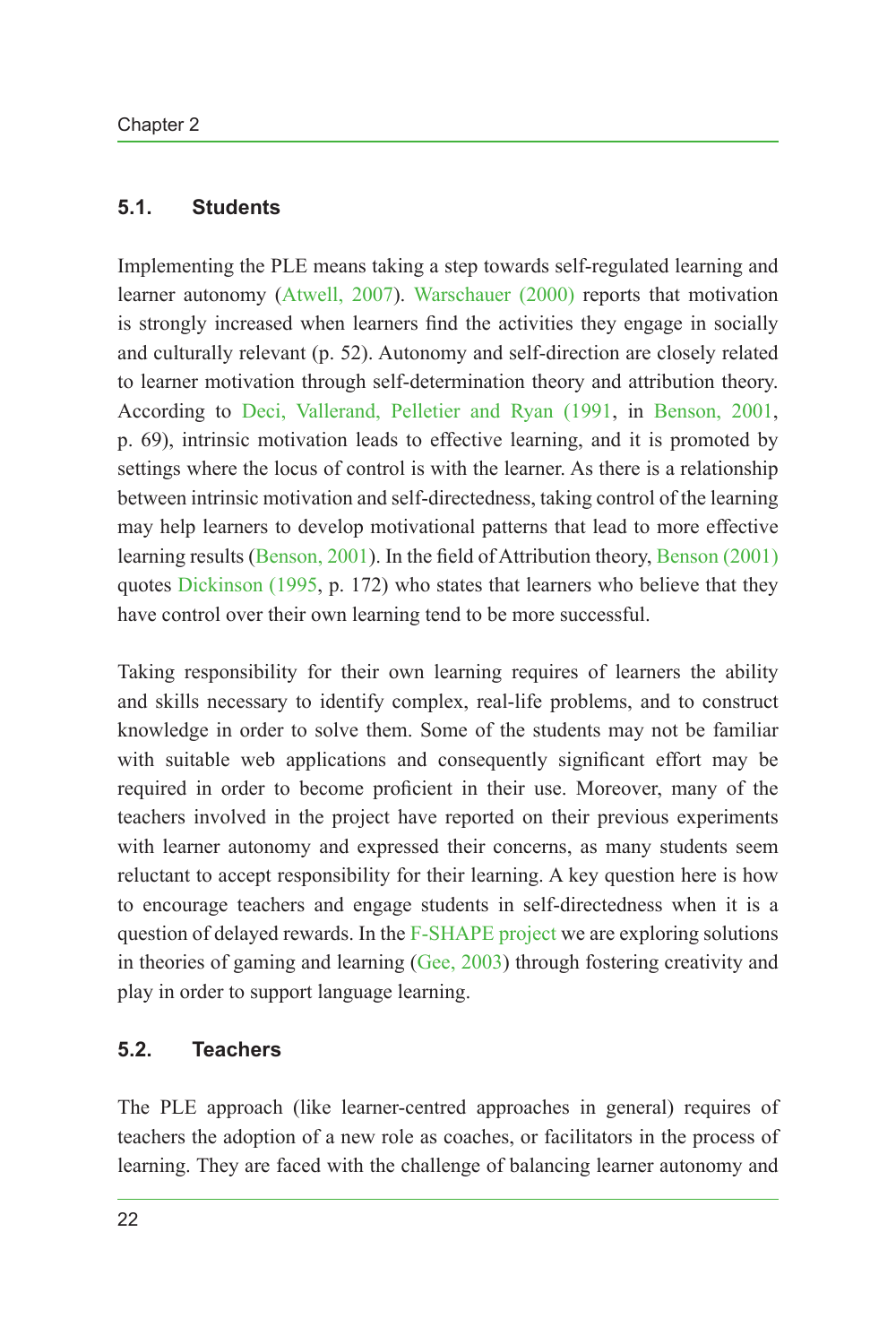#### **5.1. Students**

Implementing the PLE means taking a step towards self-regulated learning and learner autonomy ([Atwell, 2007\)](#page-16-1). [Warschauer \(2000\)](#page-18-12) reports that motivation is strongly increased when learners find the activities they engage in socially and culturally relevant (p. 52). Autonomy and self-direction are closely related to learner motivation through self-determination theory and attribution theory. According to Deci, [Vallerand, Pelletier and Ryan \(1991](#page-17-11), in [Benson, 2001](#page-16-3), p. 69), intrinsic motivation leads to effective learning, and it is promoted by settings where the locus of control is with the learner. As there is a relationship between intrinsic motivation and self-directedness, taking control of the learning may help learners to develop motivational patterns that lead to more effective learning results ([Benson, 2001\)](#page-16-3). In the field of Attribution theory, [Benson \(2001\)](#page-16-3) quotes [Dickinson \(1995](#page-17-12), p. 172) who states that learners who believe that they have control over their own learning tend to be more successful.

Taking responsibility for their own learning requires of learners the ability and skills necessary to identify complex, real-life problems, and to construct knowledge in order to solve them. Some of the students may not be familiar with suitable web applications and consequently significant effort may be required in order to become proficient in their use. Moreover, many of the teachers involved in the project have reported on their previous experiments with learner autonomy and expressed their concerns, as many students seem reluctant to accept responsibility for their learning. A key question here is how to encourage teachers and engage students in self-directedness when it is a question of delayed rewards. In the [F-SHAPE project](#page-19-0) we are exploring solutions in theories of gaming and learning [\(Gee, 2003](#page-17-13)) through fostering creativity and play in order to support language learning.

#### **5.2. Teachers**

The PLE approach (like learner-centred approaches in general) requires of teachers the adoption of a new role as coaches, or facilitators in the process of learning. They are faced with the challenge of balancing learner autonomy and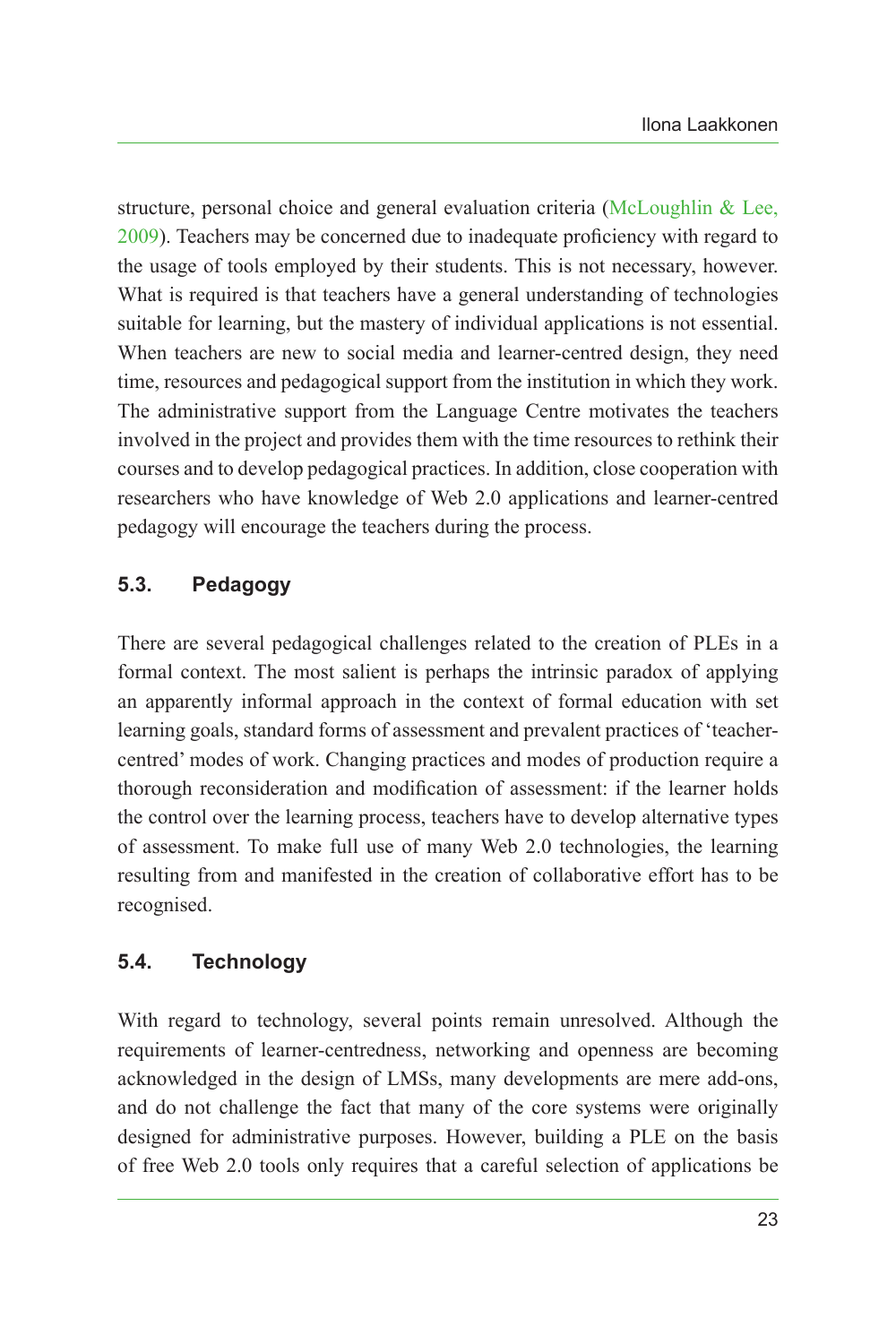structure, personal choice and general evaluation criteria ([McLoughlin &](#page-18-13) Lee, [2009](#page-18-13)). Teachers may be concerned due to inadequate proficiency with regard to the usage of tools employed by their students. This is not necessary, however. What is required is that teachers have a general understanding of technologies suitable for learning, but the mastery of individual applications is not essential. When teachers are new to social media and learner-centred design, they need time, resources and pedagogical support from the institution in which they work. The administrative support from the Language Centre motivates the teachers involved in the project and provides them with the time resources to rethink their courses and to develop pedagogical practices. In addition, close cooperation with researchers who have knowledge of Web 2.0 applications and learner-centred pedagogy will encourage the teachers during the process.

### **5.3. Pedagogy**

There are several pedagogical challenges related to the creation of PLEs in a formal context. The most salient is perhaps the intrinsic paradox of applying an apparently informal approach in the context of formal education with set learning goals, standard forms of assessment and prevalent practices of 'teachercentred' modes of work. Changing practices and modes of production require a thorough reconsideration and modification of assessment: if the learner holds the control over the learning process, teachers have to develop alternative types of assessment. To make full use of many Web 2.0 technologies, the learning resulting from and manifested in the creation of collaborative effort has to be recognised.

### **5.4. Technology**

With regard to technology, several points remain unresolved. Although the requirements of learner-centredness, networking and openness are becoming acknowledged in the design of LMSs, many developments are mere add-ons, and do not challenge the fact that many of the core systems were originally designed for administrative purposes. However, building a PLE on the basis of free Web 2.0 tools only requires that a careful selection of applications be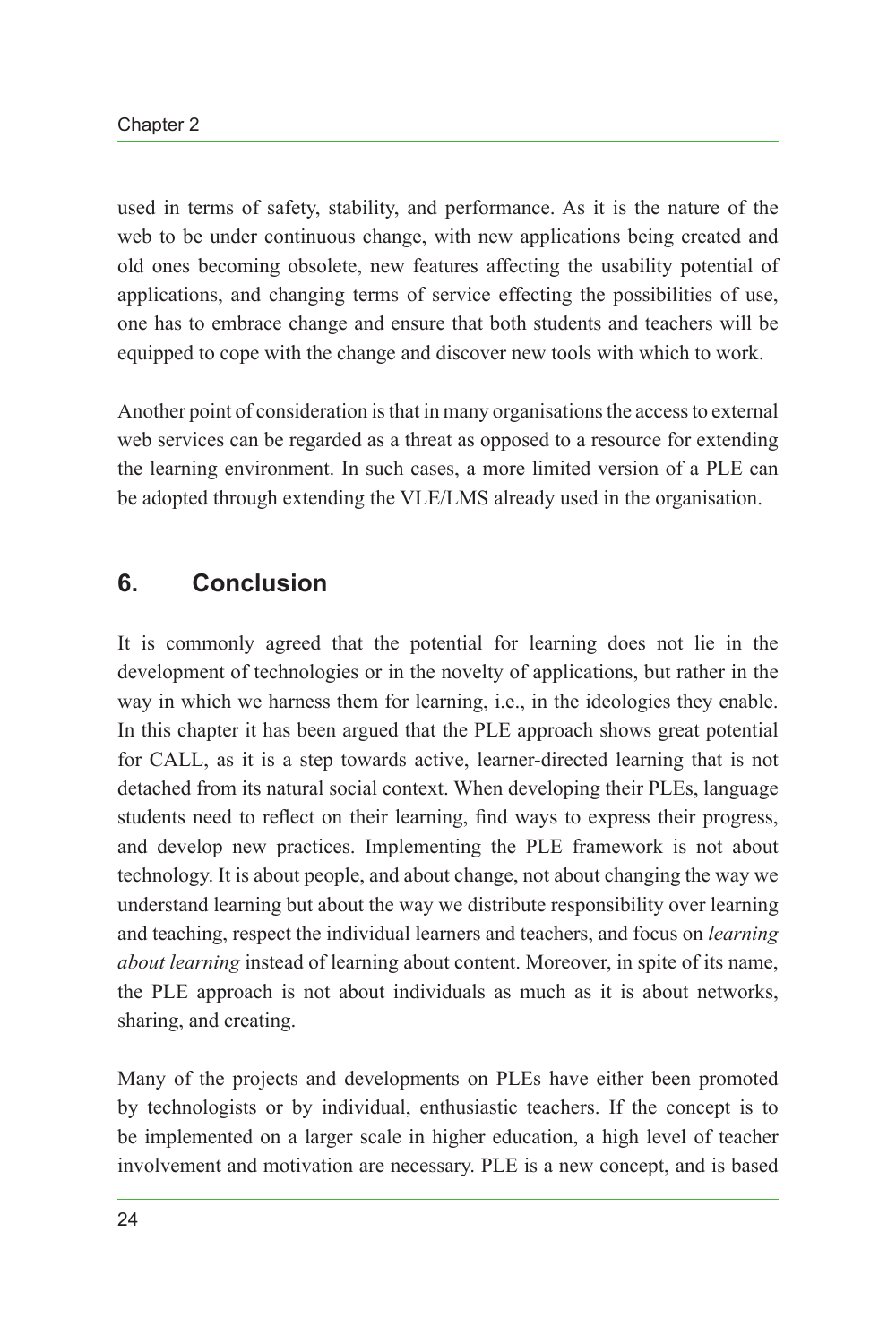used in terms of safety, stability, and performance. As it is the nature of the web to be under continuous change, with new applications being created and old ones becoming obsolete, new features affecting the usability potential of applications, and changing terms of service effecting the possibilities of use, one has to embrace change and ensure that both students and teachers will be equipped to cope with the change and discover new tools with which to work.

Another point of consideration is that in many organisations the access to external web services can be regarded as a threat as opposed to a resource for extending the learning environment. In such cases, a more limited version of a PLE can be adopted through extending the VLE/LMS already used in the organisation.

# **6. Conclusion**

It is commonly agreed that the potential for learning does not lie in the development of technologies or in the novelty of applications, but rather in the way in which we harness them for learning, i.e., in the ideologies they enable. In this chapter it has been argued that the PLE approach shows great potential for CALL, as it is a step towards active, learner-directed learning that is not detached from its natural social context. When developing their PLEs, language students need to reflect on their learning, find ways to express their progress, and develop new practices. Implementing the PLE framework is not about technology. It is about people, and about change, not about changing the way we understand learning but about the way we distribute responsibility over learning and teaching, respect the individual learners and teachers, and focus on *learning about learning* instead of learning about content. Moreover, in spite of its name, the PLE approach is not about individuals as much as it is about networks, sharing, and creating.

Many of the projects and developments on PLEs have either been promoted by technologists or by individual, enthusiastic teachers. If the concept is to be implemented on a larger scale in higher education, a high level of teacher involvement and motivation are necessary. PLE is a new concept, and is based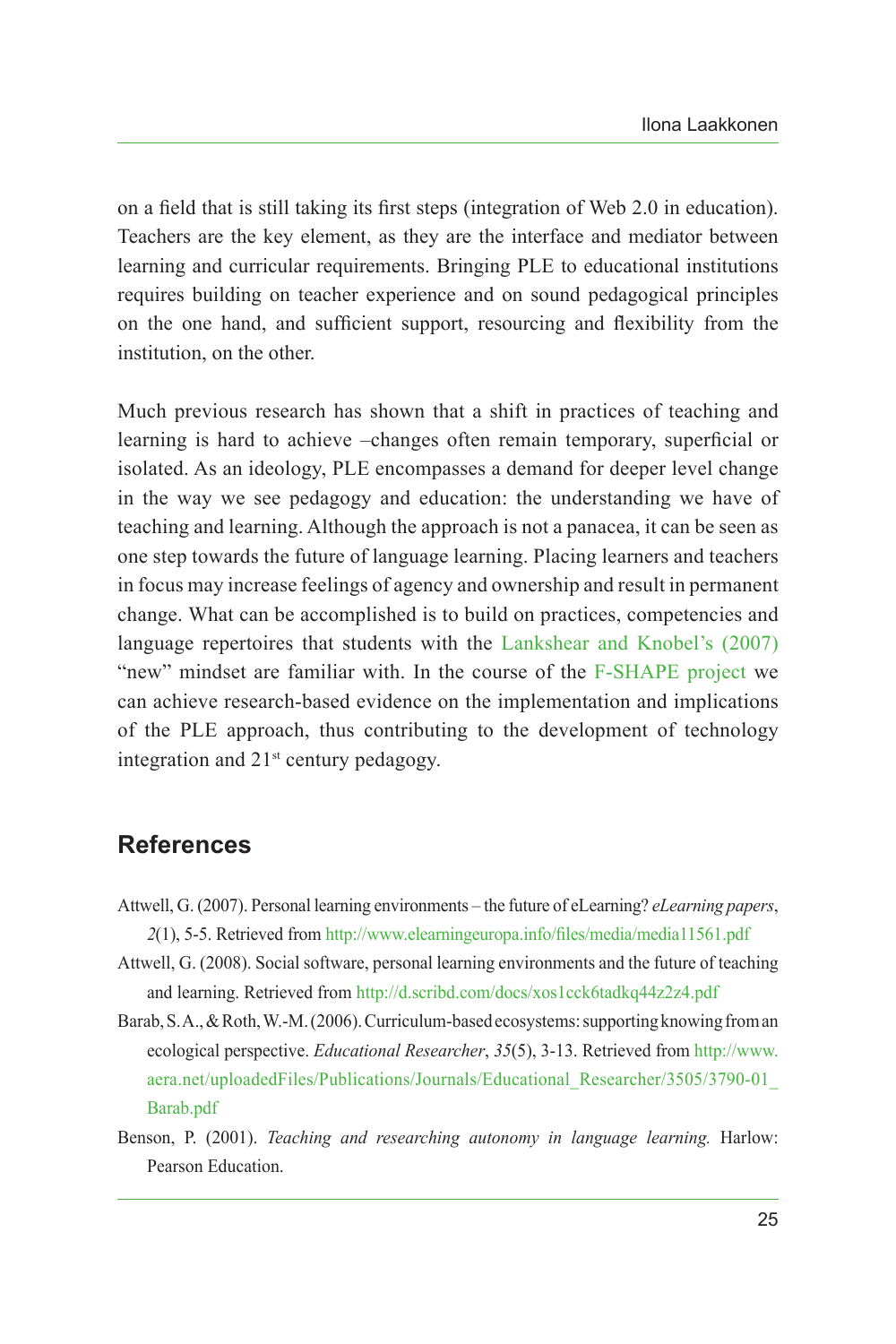on a field that is still taking its first steps (integration of Web 2.0 in education). Teachers are the key element, as they are the interface and mediator between learning and curricular requirements. Bringing PLE to educational institutions requires building on teacher experience and on sound pedagogical principles on the one hand, and sufficient support, resourcing and flexibility from the institution, on the other.

Much previous research has shown that a shift in practices of teaching and learning is hard to achieve –changes often remain temporary, superficial or isolated. As an ideology, PLE encompasses a demand for deeper level change in the way we see pedagogy and education: the understanding we have of teaching and learning. Although the approach is not a panacea, it can be seen as one step towards the future of language learning. Placing learners and teachers in focus may increase feelings of agency and ownership and result in permanent change. What can be accomplished is to build on practices, competencies and language repertoires that students with the [Lankshear and Knobel's \(2007\)](#page-17-0) "new" mindset are familiar with. In the course of the [F-SHAPE project](#page-19-0) we can achieve research-based evidence on the implementation and implications of the PLE approach, thus contributing to the development of technology integration and  $21<sup>st</sup>$  century pedagogy.

### **References**

- <span id="page-16-1"></span>Attwell, G. (2007). Personal learning environments – the future of eLearning? *eLearning papers*, *2*(1), 5-5. Retrieved from<http://www.elearningeuropa.info/files/media/media11561.pdf>
- <span id="page-16-2"></span>Attwell, G. (2008). Social software, personal learning environments and the future of teaching and learning. Retrieved from <http://d.scribd.com/docs/xos1cck6tadkq44z2z4.pdf>
- <span id="page-16-0"></span>Barab, S. A., & Roth, W.-M. (2006). Curriculum-based ecosystems: supporting knowing from an ecological perspective. *Educational Researcher*, *35*(5), 3-13. Retrieved from [http://www.](http://www.aera.net/uploadedFiles/Publications/Journals/Educational_Researcher/3505/3790-01_Barab.pdf) [aera.net/uploadedFiles/Publications/Journals/Educational\\_Researcher/3505/3790-01\\_](http://www.aera.net/uploadedFiles/Publications/Journals/Educational_Researcher/3505/3790-01_Barab.pdf) [Barab.pdf](http://www.aera.net/uploadedFiles/Publications/Journals/Educational_Researcher/3505/3790-01_Barab.pdf)
- <span id="page-16-3"></span>Benson, P. (2001). *Teaching and researching autonomy in language learning.* Harlow: Pearson Education.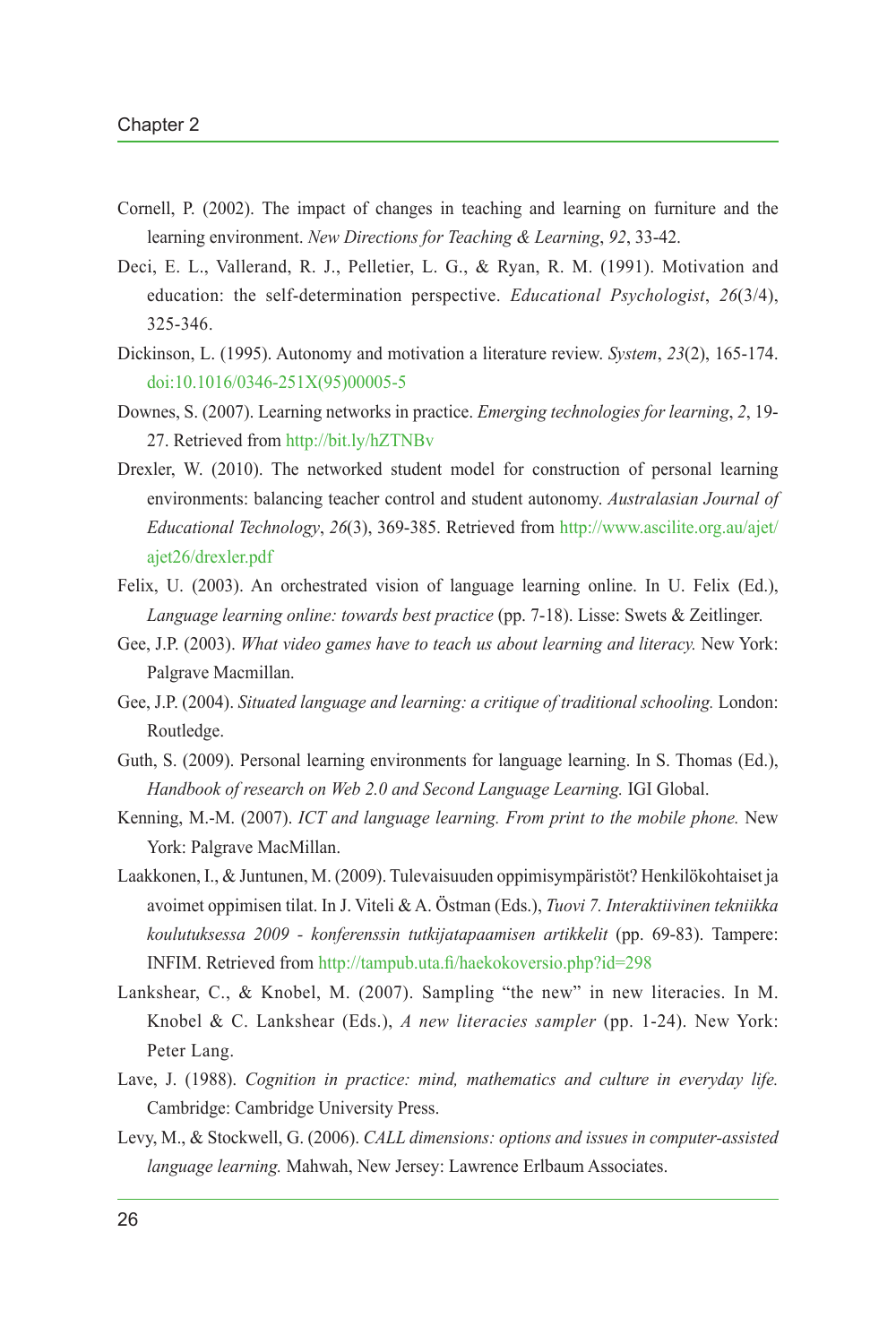- <span id="page-17-2"></span>Cornell, P. (2002). The impact of changes in teaching and learning on furniture and the learning environment. *New Directions for Teaching & Learning*, *92*, 33-42.
- <span id="page-17-11"></span>Deci, E. L., Vallerand, R. J., Pelletier, L. G., & Ryan, R. M. (1991). Motivation and education: the self-determination perspective. *Educational Psychologist*, *26*(3/4), 325-346.
- <span id="page-17-12"></span>Dickinson, L. (1995). Autonomy and motivation a literature review. *System*, *23*(2), 165-174. [doi:10.1016/0346-251X\(95\)00005-5](http://dx.doi.org/10.1016/0346-251X(95)00005-5)
- <span id="page-17-4"></span>Downes, S. (2007). Learning networks in practice. *Emerging technologies for learning*, *2*, 19- 27. Retrieved from <http://bit.ly/hZTNBv>
- <span id="page-17-10"></span>Drexler, W. (2010). The networked student model for construction of personal learning environments: balancing teacher control and student autonomy. *Australasian Journal of Educational Technology*, *26*(3), 369-385. Retrieved from [http://www.ascilite.org.au/ajet/](http://www.ascilite.org.au/ajet/ajet26/drexler.pdf) [ajet26/drexler.pdf](http://www.ascilite.org.au/ajet/ajet26/drexler.pdf)
- <span id="page-17-3"></span>Felix, U. (2003). An orchestrated vision of language learning online. In U. Felix (Ed.), *Language learning online: towards best practice* (pp. 7-18). Lisse: Swets & Zeitlinger.
- <span id="page-17-13"></span>Gee, J.P. (2003). *What video games have to teach us about learning and literacy*. New York: Palgrave Macmillan.
- <span id="page-17-5"></span>Gee, J.P. (2004). *Situated language and learning: a critique of traditional schooling.* London: Routledge.
- <span id="page-17-9"></span>Guth, S. (2009). Personal learning environments for language learning. In S. Thomas (Ed.), *Handbook of research on Web 2.0 and Second Language Learning.* IGI Global.
- <span id="page-17-6"></span>Kenning, M.-M. (2007). *ICT and language learning. From print to the mobile phone.* New York: Palgrave MacMillan.
- <span id="page-17-8"></span>Laakkonen, I., & Juntunen, M. (2009). Tulevaisuuden oppimisympäristöt? Henkilökohtaiset ja avoimet oppimisen tilat. In J. Viteli & A. Östman (Eds.), *Tuovi 7. Interaktiivinen tekniikka koulutuksessa 2009 - konferenssin tutkijatapaamisen artikkelit* (pp. 69-83). Tampere: INFIM. Retrieved from <http://tampub.uta.fi/haekokoversio.php?id=298>
- <span id="page-17-0"></span>Lankshear, C., & Knobel, M. (2007). Sampling "the new" in new literacies. In M. Knobel & C. Lankshear (Eds.), *A new literacies sampler* (pp. 1-24). New York: Peter Lang.
- <span id="page-17-1"></span>Lave, J. (1988). *Cognition in practice: mind, mathematics and culture in everyday life.*  Cambridge: Cambridge University Press.
- <span id="page-17-7"></span>Levy, M., & Stockwell, G. (2006). *CALL dimensions: options and issues in computer-assisted language learning.* Mahwah, New Jersey: Lawrence Erlbaum Associates.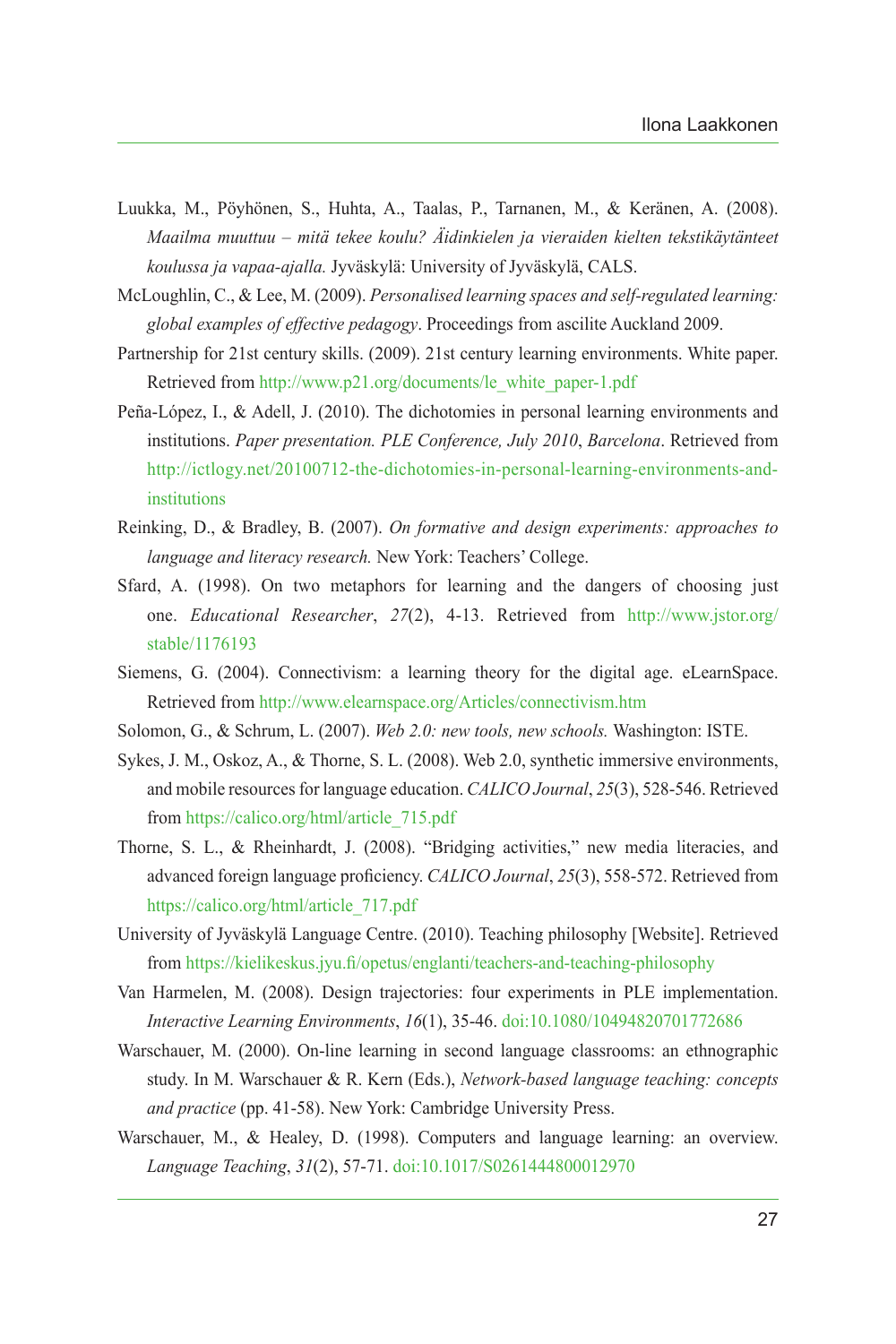- <span id="page-18-3"></span>Luukka, M., Pöyhönen, S., Huhta, A., Taalas, P., Tarnanen, M., & Keränen, A. (2008). *Maailma muuttuu – mitä tekee koulu? Äidinkielen ja vieraiden kielten tekstikäytänteet koulussa ja vapaa-ajalla.* Jyväskylä: University of Jyväskylä, CALS.
- <span id="page-18-13"></span>McLoughlin, C., & Lee, M. (2009). *Personalised learning spaces and self-regulated learning: global examples of effective pedagogy*. Proceedings from ascilite Auckland 2009.
- <span id="page-18-5"></span>Partnership for 21st century skills. (2009). 21st century learning environments. White paper. Retrieved from [http://www.p21.org/documents/le\\_white\\_paper-1.pdf](http://www.p21.org/documents/le_white_paper-1.pdf)
- <span id="page-18-9"></span>Peña-López, I., & Adell, J. (2010). The dichotomies in personal learning environments and institutions. *Paper presentation. PLE Conference, July 2010*, *Barcelona*. Retrieved from [http://ictlogy.net/20100712-the-dichotomies-in-personal-learning-environments-and](http://ictlogy.net/20100712-the-dichotomies-in-personal-learning-environments-and-institutions)[institutions](http://ictlogy.net/20100712-the-dichotomies-in-personal-learning-environments-and-institutions)
- <span id="page-18-10"></span>Reinking, D., & Bradley, B. (2007). *On formative and design experiments: approaches to language and literacy research.* New York: Teachers' College.
- <span id="page-18-1"></span>Sfard, A. (1998). On two metaphors for learning and the dangers of choosing just one. *Educational Researcher*, *27*(2), 4-13. Retrieved from [http://www.jstor.org/](http://www.jstor.org/stable/1176193) [stable/1176193](http://www.jstor.org/stable/1176193)
- <span id="page-18-6"></span>Siemens, G. (2004). Connectivism: a learning theory for the digital age. eLearnSpace. Retrieved from <http://www.elearnspace.org/Articles/connectivism.htm>
- <span id="page-18-4"></span>Solomon, G., & Schrum, L. (2007). *Web 2.0: new tools, new schools.* Washington: ISTE.
- <span id="page-18-2"></span>Sykes, J. M., Oskoz, A., & Thorne, S. L. (2008). Web 2.0, synthetic immersive environments, and mobile resources for language education. *CALICO Journal*, *25*(3), 528-546. Retrieved from [https://calico.org/html/article\\_715.pdf](https://calico.org/html/article_715.pdf)
- <span id="page-18-0"></span>Thorne, S. L., & Rheinhardt, J. (2008). "Bridging activities," new media literacies, and advanced foreign language proficiency. *CALICO Journal*, *25*(3), 558-572. Retrieved from [https://calico.org/html/article\\_717.pdf](https://calico.org/html/article_717.pdf)
- <span id="page-18-11"></span>University of Jyväskylä Language Centre. (2010). Teaching philosophy [Website]. Retrieved from <https://kielikeskus.jyu.fi/opetus/englanti/teachers-and-teaching-philosophy>
- <span id="page-18-8"></span>Van Harmelen, M. (2008). Design trajectories: four experiments in PLE implementation. *Interactive Learning Environments*, *16*(1), 35-46. [doi:10.1080/10494820701772686](http://dx.doi.org/10.1080/10494820701772686)
- <span id="page-18-12"></span>Warschauer, M. (2000). On-line learning in second language classrooms: an ethnographic study. In M. Warschauer & R. Kern (Eds.), *Network-based language teaching: concepts and practice* (pp. 41-58). New York: Cambridge University Press.
- <span id="page-18-7"></span>Warschauer, M., & Healey, D. (1998). Computers and language learning: an overview. *Language Teaching*, *31*(2), 57-71. [doi:10.1017/S0261444800012970](http://dx.doi.org/10.1017/S0261444800012970)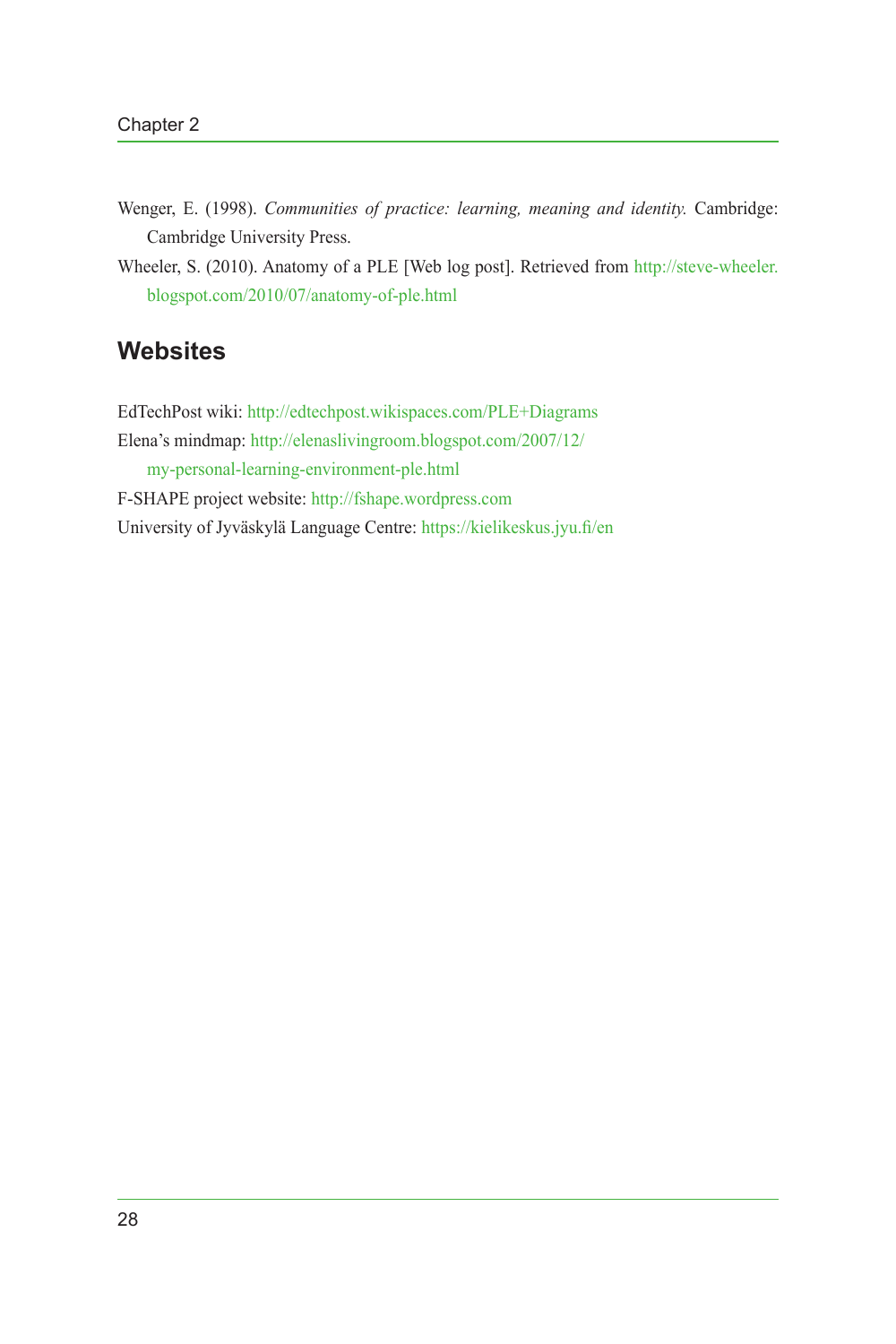- <span id="page-19-2"></span>Wenger, E. (1998). *Communities of practice: learning, meaning and identity.* Cambridge: Cambridge University Press.
- <span id="page-19-3"></span>Wheeler, S. (2010). Anatomy of a PLE [Web log post]. Retrieved from [http://steve-wheeler.](http://steve-wheeler.blogspot.com/2010/07/anatomy-of-ple.html) [blogspot.com/2010/07/anatomy-of-ple.html](http://steve-wheeler.blogspot.com/2010/07/anatomy-of-ple.html)

# **Websites**

<span id="page-19-5"></span><span id="page-19-4"></span><span id="page-19-1"></span><span id="page-19-0"></span>EdTechPost wiki:<http://edtechpost.wikispaces.com/PLE+Diagrams> Elena's mindmap: [http://elenaslivingroom.blogspot.com/2007/12/](http://elenaslivingroom.blogspot.com/2007/12/my-personal-learning-environment-ple.html) [my-personal-learning-environment-ple.html](http://elenaslivingroom.blogspot.com/2007/12/my-personal-learning-environment-ple.html) F-SHAPE project website:<http://fshape.wordpress.com> University of Jyväskylä Language Centre:<https://kielikeskus.jyu.fi/en>